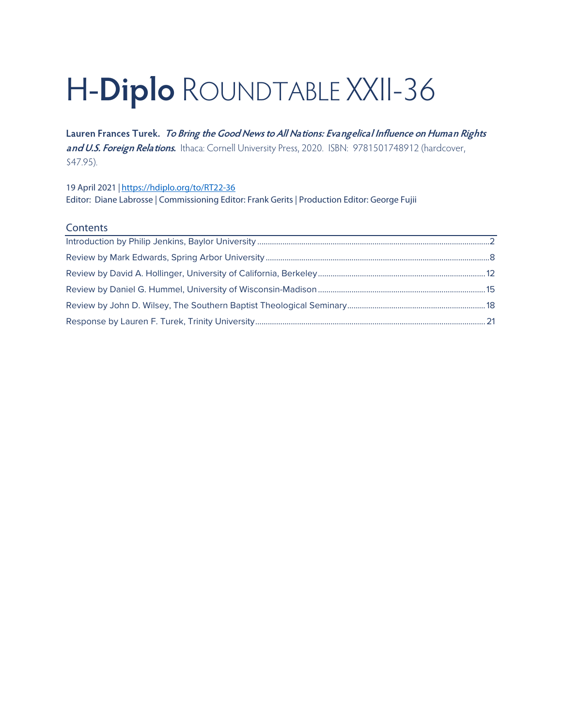# H-**Diplo** ROUNDTABLE XXII-36

**Lauren Frances Turek. To Bring the Good News to All Nations: Evangelical Influence on Human Rights and U.S. Foreign Relations.** Ithaca: Cornell University Press, 2020. ISBN: 9781501748912 (hardcover, \$47.95).

19 April 2021 *|* <https://hdiplo.org/to/RT22-36> Editor: Diane Labrosse | Commissioning Editor: Frank Gerits | Production Editor: George Fujii

#### **Contents**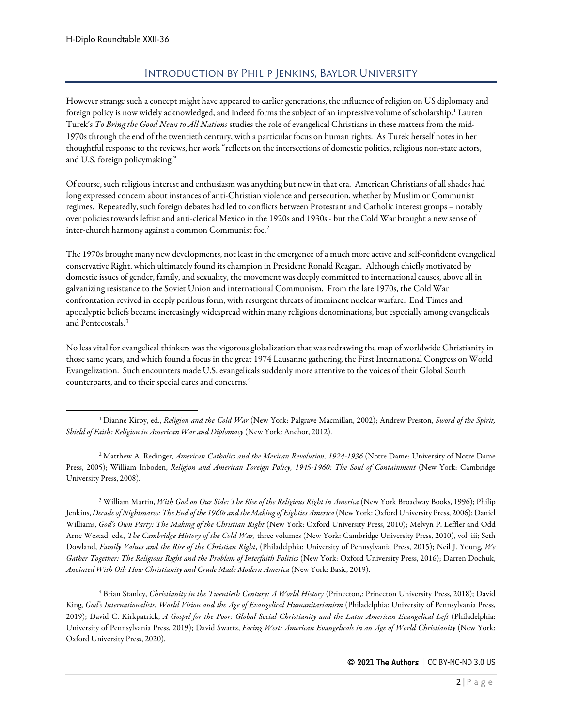### Introduction by Philip Jenkins, Baylor University

<span id="page-1-0"></span>However strange such a concept might have appeared to earlier generations, the influence of religion on US diplomacy and foreign policy is now widely acknowledged, and indeed forms the subject of an impressive volume of scholarship.[1](#page-1-1) Lauren Turek's *To Bring the Good News to All Nations* studies the role of evangelical Christians in these matters from the mid-1970s through the end of the twentieth century, with a particular focus on human rights. As Turek herself notes in her thoughtful response to the reviews, her work "reflects on the intersections of domestic politics, religious non-state actors, and U.S. foreign policymaking."

Of course, such religious interest and enthusiasm was anything but new in that era. American Christians of all shades had long expressed concern about instances of anti-Christian violence and persecution, whether by Muslim or Communist regimes. Repeatedly, such foreign debates had led to conflicts between Protestant and Catholic interest groups – notably over policies towards leftist and anti-clerical Mexico in the 1920s and 1930s - but the Cold War brought a new sense of inter-church harmony against a common Communist foe.<sup>[2](#page-1-2)</sup>

The 1970s brought many new developments, not least in the emergence of a much more active and self-confident evangelical conservative Right, which ultimately found its champion in President Ronald Reagan. Although chiefly motivated by domestic issues of gender, family, and sexuality, the movement was deeply committed to international causes, above all in galvanizing resistance to the Soviet Union and international Communism. From the late 1970s, the Cold War confrontation revived in deeply perilous form, with resurgent threats of imminent nuclear warfare. End Times and apocalyptic beliefs became increasingly widespread within many religious denominations, but especially among evangelicals and Pentecostals.[3](#page-1-3)

No less vital for evangelical thinkers was the vigorous globalization that was redrawing the map of worldwide Christianity in those same years, and which found a focus in the great 1974 Lausanne gathering, the First International Congress on World Evangelization. Such encounters made U.S. evangelicals suddenly more attentive to the voices of their Global South counterparts, and to their special cares and concerns.[4](#page-1-4)

<span id="page-1-2"></span><sup>2</sup> Matthew A. Redinger, *American Catholics and the Mexican Revolution, 1924-1936* (Notre Dame: University of Notre Dame Press, 2005); William Inboden, *Religion and American Foreign Policy, 1945-1960: The Soul of Containment* (New York: Cambridge University Press, 2008).

<span id="page-1-3"></span><sup>3</sup> William Martin, *With God on Our Side: The Rise of the Religious Right in America* (New York Broadway Books, 1996); Philip Jenkins, *Decade of Nightmares: The End of the 1960s and the Making of Eighties America* (New York: Oxford University Press, 2006); Daniel Williams, *God's Own Party: The Making of the Christian Right* (New York: Oxford University Press, 2010); Melvyn P. Leffler and Odd Arne Westad, eds., *The Cambridge History of the Cold War,* three volumes (New York: Cambridge University Press, 2010), vol. iii; Seth Dowland, *Family Values and the Rise of the Christian Right*, (Philadelphia: University of Pennsylvania Press, 2015); Neil J. Young, *We Gather Together: The Religious Right and the Problem of Interfaith Politics* (New York: Oxford University Press, 2016); Darren Dochuk, *Anointed With Oil: How Christianity and Crude Made Modern America* (New York: Basic, 2019).

<span id="page-1-4"></span><sup>4</sup> Brian Stanley, *Christianity in the Twentieth Century: A World History* (Princeton,: Princeton University Press, 2018); David King, *God's Internationalists: World Vision and the Age of Evangelical Humanitarianism* (Philadelphia: University of Pennsylvania Press, 2019); David C. Kirkpatrick, *A Gospel for the Poor: Global Social Christianity and the Latin American Evangelical Left* (Philadelphia: University of Pennsylvania Press, 2019); David Swartz, *Facing West: American Evangelicals in an Age of World Christianity* (New York: Oxford University Press, 2020).

<span id="page-1-1"></span><sup>1</sup> Dianne Kirby, ed., *Religion and the Cold War* (New York: Palgrave Macmillan, 2002); Andrew Preston, *Sword of the Spirit, Shield of Faith: Religion in American War and Diplomacy* (New York: Anchor, 2012).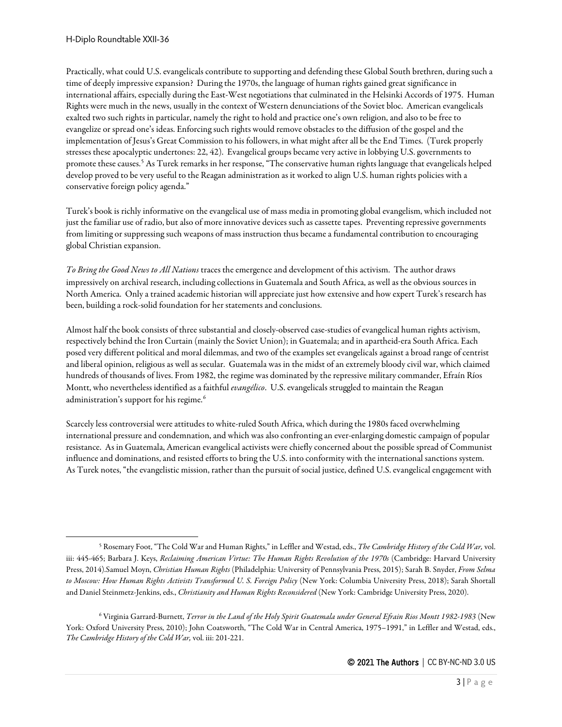Practically, what could U.S. evangelicals contribute to supporting and defending these Global South brethren, during such a time of deeply impressive expansion? During the 1970s, the language of human rights gained great significance in international affairs, especially during the East-West negotiations that culminated in the Helsinki Accords of 1975. Human Rights were much in the news, usually in the context of Western denunciations of the Soviet bloc. American evangelicals exalted two such rights in particular, namely the right to hold and practice one's own religion, and also to be free to evangelize or spread one's ideas. Enforcing such rights would remove obstacles to the diffusion of the gospel and the implementation of Jesus's Great Commission to his followers, in what might after all be the End Times. (Turek properly stresses these apocalyptic undertones: 22, 42). Evangelical groups became very active in lobbying U.S. governments to promote these causes.[5](#page-2-0) As Turek remarks in her response, "The conservative human rights language that evangelicals helped develop proved to be very useful to the Reagan administration as it worked to align U.S. human rights policies with a conservative foreign policy agenda."

Turek's book is richly informative on the evangelical use of mass media in promoting global evangelism, which included not just the familiar use of radio, but also of more innovative devices such as cassette tapes. Preventing repressive governments from limiting or suppressing such weapons of mass instruction thus became a fundamental contribution to encouraging global Christian expansion.

*To Bring the Good News to All Nations* traces the emergence and development of this activism. The author draws impressively on archival research, including collections in Guatemala and South Africa, as well as the obvious sources in North America. Only a trained academic historian will appreciate just how extensive and how expert Turek's research has been, building a rock-solid foundation for her statements and conclusions.

Almost half the book consists of three substantial and closely-observed case-studies of evangelical human rights activism, respectively behind the Iron Curtain (mainly the Soviet Union); in Guatemala; and in apartheid-era South Africa. Each posed very different political and moral dilemmas, and two of the examples set evangelicals against a broad range of centrist and liberal opinion, religious as well as secular. Guatemala was in the midst of an extremely bloody civil war, which claimed hundreds of thousands of lives. From 1982, the regime was dominated by the repressive military commander, Efraín Ríos Montt, who nevertheless identified as a faithful *evangélico*. U.S. evangelicals struggled to maintain the Reagan administration's support for his regime.<sup>[6](#page-2-1)</sup>

Scarcely less controversial were attitudes to white-ruled South Africa, which during the 1980s faced overwhelming international pressure and condemnation, and which was also confronting an ever-enlarging domestic campaign of popular resistance. As in Guatemala, American evangelical activists were chiefly concerned about the possible spread of Communist influence and dominations, and resisted efforts to bring the U.S. into conformity with the international sanctions system. As Turek notes, "the evangelistic mission, rather than the pursuit of social justice, defined U.S. evangelical engagement with

<span id="page-2-0"></span><sup>5</sup> Rosemary Foot, "The Cold War and Human Rights," in Leffler and Westad, eds., *The Cambridge History of the Cold War,* vol. iii: 445-465; Barbara J. Keys, *Reclaiming American Virtue: The Human Rights Revolution of the 1970s* (Cambridge: Harvard University Press, 2014).Samuel Moyn, *Christian Human Rights* (Philadelphia: University of Pennsylvania Press, 2015); Sarah B. Snyder, *From Selma to Moscow: How Human Rights Activists Transformed U. S. Foreign Policy* (New York: Columbia University Press, 2018); Sarah Shortall and Daniel Steinmetz-Jenkins, eds., *Christianity and Human Rights Reconsidered* (New York: Cambridge University Press, 2020).

<span id="page-2-1"></span><sup>6</sup> Virginia Garrard-Burnett, *Terror in the Land of the Holy Spirit Guatemala under General Efrain Rios Montt 1982-1983* (New York: Oxford University Press, 2010); John Coatsworth, "The Cold War in Central America, 1975-1991," in Leffler and Westad, eds., *The Cambridge History of the Cold War,* vol. iii: 201-221.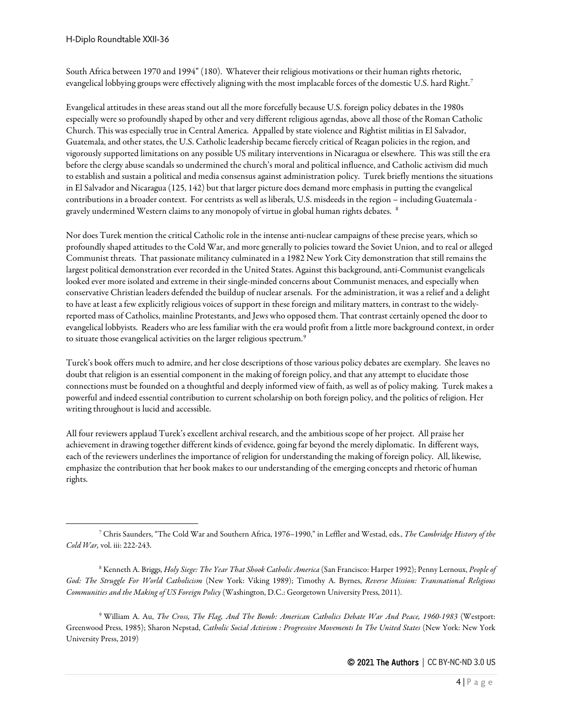South Africa between 1970 and 1994" (180). Whatever their religious motivations or their human rights rhetoric, evangelical lobbying groups were effectively aligning with the most implacable forces of the domestic U.S. hard Right.[7](#page-3-0)

Evangelical attitudes in these areas stand out all the more forcefully because U.S. foreign policy debates in the 1980s especially were so profoundly shaped by other and very different religious agendas, above all those of the Roman Catholic Church. This was especially true in Central America. Appalled by state violence and Rightist militias in El Salvador, Guatemala, and other states, the U.S. Catholic leadership became fiercely critical of Reagan policies in the region, and vigorously supported limitations on any possible US military interventions in Nicaragua or elsewhere. This was still the era before the clergy abuse scandals so undermined the church's moral and political influence, and Catholic activism did much to establish and sustain a political and media consensus against administration policy. Turek briefly mentions the situations in El Salvador and Nicaragua (125, 142) but that larger picture does demand more emphasis in putting the evangelical contributions in a broader context. For centrists as well as liberals, U.S. misdeeds in the region – including Guatemala gravely undermined Western claims to any monopoly of virtue in global human rights debates. [8](#page-3-1)

Nor does Turek mention the critical Catholic role in the intense anti-nuclear campaigns of these precise years, which so profoundly shaped attitudes to the Cold War, and more generally to policies toward the Soviet Union, and to real or alleged Communist threats. That passionate militancy culminated in a 1982 New York City demonstration that still remains the largest political demonstration ever recorded in the United States. Against this background, anti-Communist evangelicals looked ever more isolated and extreme in their single-minded concerns about Communist menaces, and especially when conservative Christian leaders defended the buildup of nuclear arsenals. For the administration, it was a relief and a delight to have at least a few explicitly religious voices of support in these foreign and military matters, in contrast to the widelyreported mass of Catholics, mainline Protestants, and Jews who opposed them. That contrast certainly opened the door to evangelical lobbyists. Readers who are less familiar with the era would profit from a little more background context, in order to situate those evangelical activities on the larger religious spectrum.<sup>[9](#page-3-2)</sup>

Turek's book offers much to admire, and her close descriptions of those various policy debates are exemplary. She leaves no doubt that religion is an essential component in the making of foreign policy, and that any attempt to elucidate those connections must be founded on a thoughtful and deeply informed view of faith, as well as of policy making. Turek makes a powerful and indeed essential contribution to current scholarship on both foreign policy, and the politics of religion. Her writing throughout is lucid and accessible.

All four reviewers applaud Turek's excellent archival research, and the ambitious scope of her project. All praise her achievement in drawing together different kinds of evidence, going far beyond the merely diplomatic. In different ways, each of the reviewers underlines the importance of religion for understanding the making of foreign policy. All, likewise, emphasize the contribution that her book makes to our understanding of the emerging concepts and rhetoric of human rights.

<span id="page-3-2"></span><sup>9</sup> William A. Au, *The Cross, The Flag, And The Bomb: American Catholics Debate War And Peace, 1960-1983* (Westport: Greenwood Press, 1985); Sharon Nepstad, *Catholic Social Activism : Progressive Movements In The United States* (New York: New York University Press, 2019)

<span id="page-3-0"></span><sup>7</sup> Chris Saunders, "The Cold War and Southern Africa, 1976–1990," in Leffler and Westad, eds., *The Cambridge History of the Cold War,* vol. iii: 222-243.

<span id="page-3-1"></span><sup>8</sup> Kenneth A. Briggs, *Holy Siege: The Year That Shook Catholic America* (San Francisco: Harper 1992); Penny Lernoux, *People of God: The Struggle For World Catholicism* (New York: Viking 1989); Timothy A. Byrnes, *Reverse Mission: Transnational Religious Communities and the Making of US Foreign Policy* (Washington, D.C.: Georgetown University Press, 2011).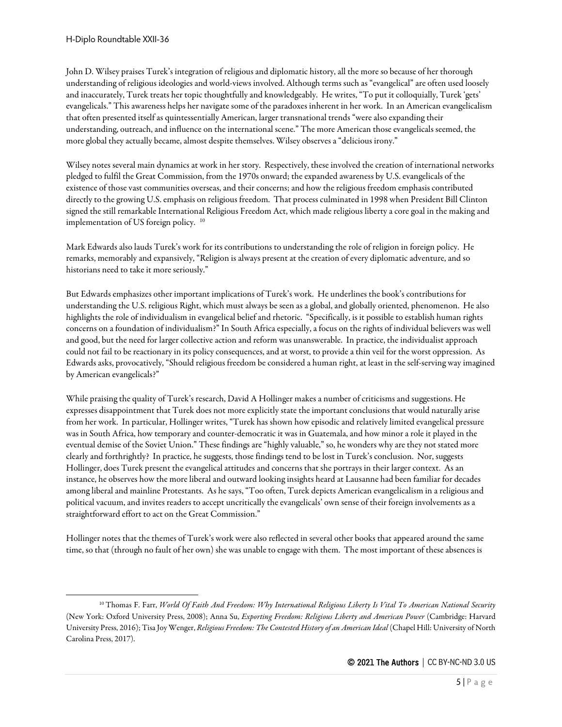John D. Wilsey praises Turek's integration of religious and diplomatic history, all the more so because of her thorough understanding of religious ideologies and world-views involved. Although terms such as "evangelical" are often used loosely and inaccurately, Turek treats her topic thoughtfully and knowledgeably. He writes, "To put it colloquially, Turek 'gets' evangelicals." This awareness helps her navigate some of the paradoxes inherent in her work. In an American evangelicalism that often presented itself as quintessentially American, larger transnational trends "were also expanding their understanding, outreach, and influence on the international scene." The more American those evangelicals seemed, the more global they actually became, almost despite themselves. Wilsey observes a "delicious irony."

Wilsey notes several main dynamics at work in her story. Respectively, these involved the creation of international networks pledged to fulfil the Great Commission, from the 1970s onward; theexpanded awareness by U.S. evangelicals of the existence of those vast communities overseas, and their concerns; and how the religious freedom emphasis contributed directly to the growing U.S. emphasis on religious freedom. That process culminated in 1998 when President Bill Clinton signed the still remarkable International Religious Freedom Act, which made religious liberty a core goal in the making and implementation of US foreign policy. [10](#page-4-0)

Mark Edwards also lauds Turek's work for its contributions to understanding the role of religion in foreign policy. He remarks, memorably and expansively, "Religion is always present at the creation of every diplomatic adventure, and so historians need to take it more seriously."

But Edwards emphasizes other important implications of Turek's work. He underlines the book's contributions for understanding the U.S. religious Right, which must always be seen as a global, and globally oriented, phenomenon. He also highlights the role of individualism in evangelical belief and rhetoric. "Specifically, is it possible to establish human rights concerns on a foundation of individualism?" In South Africa especially, a focus on the rights of individual believers was well and good, but the need for larger collective action and reform was unanswerable. In practice, the individualist approach could not fail to be reactionary in its policy consequences, and at worst, to provide a thin veil for the worst oppression. As Edwards asks, provocatively, "Should religious freedom be considered a human right, at least in the self-serving way imagined by American evangelicals?"

While praising the quality of Turek's research, David A Hollinger makes a number of criticisms and suggestions. He expresses disappointment that Turek does not more explicitly state the important conclusions that would naturally arise from her work. In particular, Hollinger writes, "Turek has shown how episodic and relatively limited evangelical pressure was in South Africa, how temporary and counter-democratic it was in Guatemala, and how minor a role it played in the eventual demise of the Soviet Union." These findings are "highly valuable," so, he wonders why are they not stated more clearly and forthrightly? In practice, he suggests, those findings tend to belost in Turek's conclusion. Nor, suggests Hollinger, does Turek present the evangelical attitudes and concerns that she portrays in their larger context. As an instance, he observes how the more liberal and outward looking insights heard at Lausanne had been familiar for decades among liberal and mainline Protestants. As he says, "Too often, Turek depicts American evangelicalism in a religious and political vacuum, and invites readers to accept uncritically the evangelicals' own sense of their foreign involvements as a straightforward effort to act on the Great Commission."

Hollinger notes that the themes of Turek's work were also reflected in several other books that appeared around the same time, so that (through no fault of her own) she was unable to engage with them. The most important of these absences is

<span id="page-4-0"></span><sup>10</sup> Thomas F. Farr, *World Of Faith And Freedom: Why International Religious Liberty Is Vital To American National Security* (New York: Oxford University Press, 2008); Anna Su, *Exporting Freedom: Religious Liberty and American Power* (Cambridge: Harvard University Press, 2016); Tisa Joy Wenger, *Religious Freedom: The Contested History of an American Ideal* (Chapel Hill: University of North Carolina Press, 2017).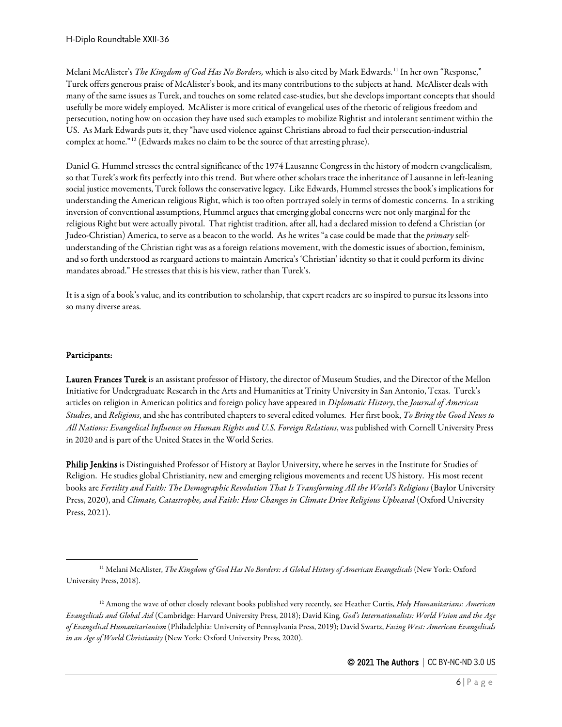Melani McAlister's *The Kingdom of God Has No Borders,* which is also cited by Mark Edwards.[11](#page-5-0) In her own "Response," Turek offers generous praise of McAlister's book, and its many contributions to the subjects at hand. McAlister deals with many of the same issues as Turek, and touches on some related case-studies, but she develops important concepts that should usefully be more widely employed. McAlister is more critical of evangelical uses of the rhetoric of religious freedom and persecution, noting how on occasion they have used such examples to mobilize Rightist and intolerant sentiment within the US. As Mark Edwards puts it, they "have used violence against Christians abroad to fuel their persecution-industrial complex at home."[12](#page-5-1) (Edwards makes no claim to be the source of that arresting phrase).

Daniel G. Hummel stresses the central significance of the 1974 Lausanne Congress in the history of modern evangelicalism, so that Turek's work fits perfectly into this trend. But where other scholars trace the inheritance of Lausanne in left-leaning social justice movements, Turek follows the conservative legacy. Like Edwards, Hummel stresses the book's implications for understanding the American religious Right, which is too often portrayed solely in terms of domestic concerns. In a striking inversion of conventional assumptions, Hummel argues that emerging global concerns were not only marginal for the religious Right but were actually pivotal. That rightist tradition, after all, had a declared mission to defend a Christian (or Judeo-Christian) America, to serve as a beacon to the world. As he writes "a case could be made that the *primary* selfunderstanding of the Christian right was as a foreign relations movement, with the domestic issues of abortion, feminism, and so forth understood as rearguard actions to maintain America's 'Christian' identity so that it could perform its divine mandates abroad." He stresses that this is his view, rather than Turek's.

It is a sign of a book's value, and its contribution to scholarship, that expert readers are so inspired to pursue its lessons into so many diverse areas.

#### Participants:

Lauren Frances Turek is an assistant professor of History, the director of Museum Studies, and the Director of the Mellon Initiative for Undergraduate Research in the Arts and Humanities at Trinity University in San Antonio, Texas. Turek's articles on religion in American politics and foreign policy have appeared in *Diplomatic History*, the *Journal of American Studies*, and *Religions*, and she has contributed chapters to several edited volumes. Her first book, *To Bring the Good News to All Nations: Evangelical Influence on Human Rights and U.S. Foreign Relations*, was published with Cornell University Press in 2020 and is part of the United States in the World Series.

Philip Jenkins is Distinguished Professor of History at Baylor University, where he serves in the Institute for Studies of Religion. He studies global Christianity, new and emerging religious movements and recent US history. His most recent books are *Fertility and Faith: The Demographic Revolution That Is Transforming All the World's Religions* (Baylor University Press, 2020), and *Climate, Catastrophe, and Faith: How Changes in Climate Drive Religious Upheaval* (Oxford University Press, 2021).

<span id="page-5-0"></span><sup>&</sup>lt;sup>11</sup> Melani McAlister, *The Kingdom of God Has No Borders: A Global History of American Evangelicals* (New York: Oxford University Press, 2018).

<span id="page-5-1"></span><sup>12</sup> Among the wave of other closely relevant books published very recently, see Heather Curtis, *Holy Humanitarians: American Evangelicals and Global Aid* (Cambridge: Harvard University Press, 2018); David King, *God's Internationalists: World Vision and the Age of Evangelical Humanitarianism* (Philadelphia: University of Pennsylvania Press, 2019); David Swartz, *Facing West: American Evangelicals in an Age of World Christianity* (New York: Oxford University Press, 2020).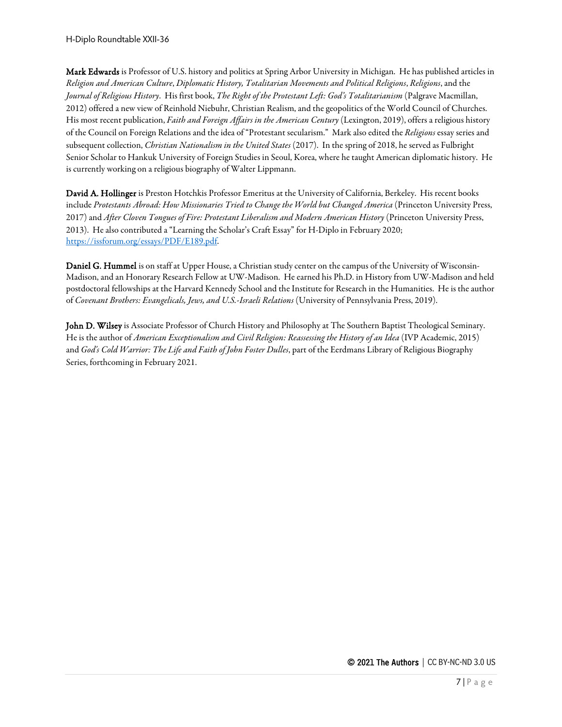Mark Edwards is Professor of U.S. history and politics at Spring Arbor University in Michigan. He has published articles in *Religion and American Culture*, *Diplomatic History, Totalitarian Movements and Political Religions*, *Religions*,and the *Journal of Religious History*. His first book, *The Right of the Protestant Left: God's Totalitarianism* (Palgrave Macmillan, 2012) offered a new view of Reinhold Niebuhr, Christian Realism, and the geopolitics of the World Council of Churches. His most recent publication, *Faith and Foreign Affairs in the American Century* (Lexington, 2019), offers a religious history of the Council on Foreign Relations and the idea of "Protestant secularism." Mark also edited the *Religions* essay series and subsequent collection, *Christian Nationalism in the United States* (2017). In the spring of 2018, he served as Fulbright Senior Scholar to Hankuk University of Foreign Studies in Seoul, Korea, where he taught American diplomatic history. He is currently working on a religious biography of Walter Lippmann.

David A. Hollinger is Preston Hotchkis Professor Emeritus at the University of California, Berkeley. His recent books include *Protestants Abroad: How Missionaries Tried to Change the World but Changed America* (Princeton University Press, 2017) and *After Cloven Tongues of Fire: Protestant Liberalism and Modern American History* (Princeton University Press, 2013). He also contributed a "Learning the Scholar's Craft Essay" for H-Diplo in February 2020; [https://issforum.org/essays/PDF/E189.pdf.](https://issforum.org/essays/PDF/E189.pdf)

Daniel G. Hummel is on staff at Upper House, a Christian study center on the campus of the University of Wisconsin-Madison, and an Honorary Research Fellow at UW-Madison. He earned his Ph.D. in History from UW-Madison and held postdoctoral fellowships at the Harvard Kennedy School and the Institute for Research in the Humanities. He is the author of *Covenant Brothers: Evangelicals, Jews, and U.S.-Israeli Relations* (University of Pennsylvania Press, 2019).

John D. Wilsey is Associate Professor of Church History and Philosophy at The Southern Baptist Theological Seminary. He is the author of *American Exceptionalism and Civil Religion: Reassessing the History of an Idea* (IVP Academic, 2015) and *God's Cold Warrior: The Life and Faith of John Foster Dulles*, part of the Eerdmans Library of Religious Biography Series, forthcoming in February 2021.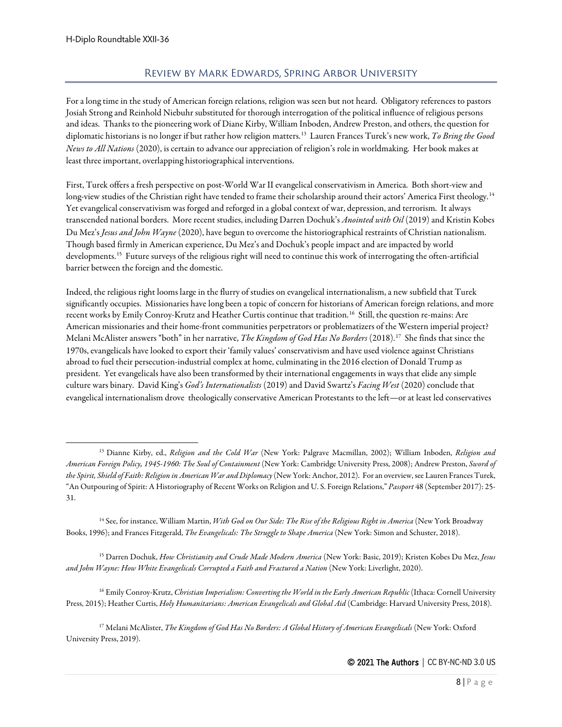#### Review by Mark Edwards, Spring Arbor University

<span id="page-7-0"></span>For a long time in the study of American foreign relations, religion was seen but not heard. Obligatory references to pastors Josiah Strong and Reinhold Niebuhr substituted for thorough interrogation of the political influence of religious persons and ideas. Thanks to the pioneering work of Diane Kirby, William Inboden, Andrew Preston, and others, the question for diplomatic historians is no longer if but rather how religion matters.[13](#page-7-1) Lauren Frances Turek's new work, *To Bring the Good News to All Nations* (2020), is certain to advance our appreciation of religion's role in worldmaking. Her book makes at least three important, overlapping historiographical interventions.

First, Turek offers a fresh perspective on post-World War II evangelical conservativism in America. Both short-view and long-view studies of the Christian right have tended to frame their scholarship around their actors' America First theology.<sup>14</sup> Yet evangelical conservativism was forged and reforged in a global context of war, depression, and terrorism. It always transcended national borders. More recent studies, including Darren Dochuk's *Anointed with Oil* (2019) and Kristin Kobes Du Mez's *Jesus and John Wayne* (2020), have begun to overcome the historiographical restraints of Christian nationalism. Though based firmly in American experience, Du Mez's and Dochuk's people impact and are impacted by world developments.[15](#page-7-3) Future surveys of the religious right will need to continue this work of interrogating the often-artificial barrier between the foreign and the domestic.

Indeed, the religious right looms large in the flurry of studies on evangelical internationalism, a new subfield that Turek significantly occupies. Missionaries have long been a topic of concern for historians of American foreign relations, and more recent works by Emily Conroy-Krutz and Heather Curtis continue that tradition.[16](#page-7-4) Still, the question re-mains: Are American missionaries and their home-front communities perpetrators or problematizers of the Western imperial project? Melani McAlister answers "both" in her narrative, *The Kingdom of God Has No Borders* (2018).[17](#page-7-5) She finds that since the 1970s, evangelicals have looked to export their 'family values' conservativism and have used violence against Christians abroad to fuel their persecution-industrial complex at home, culminating in the 2016 election of Donald Trump as president. Yet evangelicals have also been transformed by their international engagements in ways that elide any simple culture wars binary. David King's *God's Internationalists* (2019) and David Swartz's *Facing West* (2020) conclude that evangelical internationalism drove theologically conservative American Protestants to the left—or at least led conservatives

<span id="page-7-3"></span><sup>15</sup> Darren Dochuk, *How Christianity and Crude Made Modern America* (New York: Basic, 2019); Kristen Kobes Du Mez, *Jesus and John Wayne: How White Evangelicals Corrupted a Faith and Fractured a Nation* (New York: Liverlight, 2020).

<span id="page-7-4"></span><sup>16</sup> Emily Conroy-Krutz, *Christian Imperialism: Converting the World in the Early American Republic* (Ithaca: Cornell University Press, 2015); Heather Curtis, *Holy Humanitarians: American Evangelicals and Global Aid* (Cambridge: Harvard University Press, 2018).

<span id="page-7-5"></span><sup>17</sup> Melani McAlister, *The Kingdom of God Has No Borders: A Global History of American Evangelicals* (New York: Oxford University Press, 2019).

<span id="page-7-1"></span><sup>13</sup> Dianne Kirby, ed., *Religion and the Cold War* (New York: Palgrave Macmillan, 2002); William Inboden, *Religion and American Foreign Policy, 1945-1960: The Soul of Containment* (New York: Cambridge University Press, 2008); Andrew Preston, *Sword of the Spirit, Shield of Faith: Religion in American War and Diplomacy*(New York: Anchor, 2012). For an overview, see Lauren Frances Turek, "An Outpouring of Spirit: A Historiography of Recent Works on Religion and U. S. Foreign Relations," *Passport* 48 (September 2017): 25- 31.

<span id="page-7-2"></span><sup>14</sup> See, for instance, William Martin, *With God on Our Side: The Rise of the Religious Right in America* (New York Broadway Books, 1996); and Frances Fitzgerald, *The Evangelicals: The Struggle to Shape America* (New York: Simon and Schuster, 2018).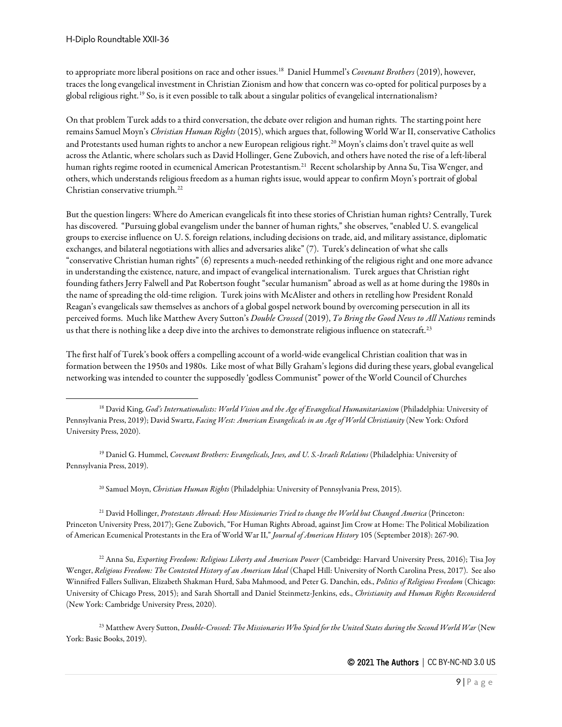to appropriate more liberal positions on race and other issues.[18](#page-8-0) Daniel Hummel's *Covenant Brothers* (2019), however, traces the long evangelical investment in Christian Zionism and how that concern was co-opted for political purposes by a global religious right.[19](#page-8-1) So, is it even possible to talk about a singular politics of evangelical internationalism?

On that problem Turek adds to a third conversation, the debate over religion and human rights. The starting point here remains Samuel Moyn's *Christian Human Rights* (2015), which argues that, following World War II, conservative Catholics and Protestants used human rights to anchor a new European religious right.[20](#page-8-2) Moyn's claims don't travel quite as well across the Atlantic, where scholars such as David Hollinger, Gene Zubovich, and others have noted the rise of a left-liberal human rights regime rooted in ecumenical American Protestantism.<sup>[21](#page-8-3)</sup> Recent scholarship by Anna Su, Tisa Wenger, and others, which understands religious freedom as a human rights issue, would appear to confirm Moyn's portrait of global Christian conservative triumph.[22](#page-8-4)

But the question lingers: Where do American evangelicals fit into these stories of Christian human rights? Centrally, Turek has discovered. "Pursuing global evangelism under the banner of human rights," she observes, "enabled U. S. evangelical groups to exercise influence on U. S. foreign relations, including decisions on trade, aid, and military assistance, diplomatic exchanges, and bilateral negotiations with allies and adversaries alike" (7). Turek's delineation of what she calls "conservative Christian human rights" (6) represents a much-needed rethinking of the religious right and one more advance in understanding the existence, nature, and impact of evangelical internationalism. Turek argues that Christian right founding fathers Jerry Falwell and Pat Robertson fought "secular humanism" abroad as well as at home during the 1980s in the name of spreading the old-time religion. Turek joins with McAlister and others in retelling how President Ronald Reagan's evangelicals saw themselves as anchors of a global gospel network bound by overcoming persecution in all its perceived forms. Much like Matthew Avery Sutton's *Double Crossed* (2019), *To Bring the Good News to All Nations* reminds us that there is nothing like a deep dive into the archives to demonstrate religious influence on statecraft.<sup>[23](#page-8-5)</sup>

The first half of Turek's book offers a compelling account of a world-wide evangelical Christian coalition that was in formation between the 1950s and 1980s. Like most of what Billy Graham's legions did during these years, global evangelical networking was intended to counter thesupposedly 'godless Communist" power of the World Council of Churches

<span id="page-8-1"></span><sup>19</sup> Daniel G. Hummel, *Covenant Brothers: Evangelicals, Jews, and U. S.-Israeli Relations* (Philadelphia: University of Pennsylvania Press, 2019).

<sup>20</sup> Samuel Moyn, *Christian Human Rights* (Philadelphia: University of Pennsylvania Press, 2015).

<span id="page-8-3"></span><span id="page-8-2"></span><sup>21</sup> David Hollinger, *Protestants Abroad: How Missionaries Tried to change the World but Changed America* (Princeton: Princeton University Press, 2017); Gene Zubovich, "For Human Rights Abroad, against Jim Crow at Home: The Political Mobilization of American Ecumenical Protestants in the Era of World War II," *Journal of American History* 105 (September 2018): 267-90.

<span id="page-8-4"></span><sup>22</sup> Anna Su, *Exporting Freedom: Religious Liberty and American Power* (Cambridge: Harvard University Press, 2016); Tisa Joy Wenger, *Religious Freedom: The Contested History of an American Ideal* (Chapel Hill: University of North Carolina Press, 2017). See also Winnifred Fallers Sullivan, Elizabeth Shakman Hurd, Saba Mahmood, and Peter G. Danchin, eds., *Politics of Religious Freedom* (Chicago: University of Chicago Press, 2015); and Sarah Shortall and Daniel Steinmetz-Jenkins, eds., *Christianity and Human Rights Reconsidered* (New York: Cambridge University Press, 2020).

<span id="page-8-5"></span><sup>23</sup> Matthew Avery Sutton, *Double-Crossed: The Missionaries Who Spied for the United States during the Second World War* (New York: Basic Books, 2019).

<span id="page-8-0"></span><sup>&</sup>lt;sup>18</sup> David King, *God's Internationalists: World Vision and the Age of Evangelical Humanitarianism* (Philadelphia: University of Pennsylvania Press, 2019); David Swartz, *Facing West: American Evangelicals in an Age of World Christianity* (New York: Oxford University Press, 2020).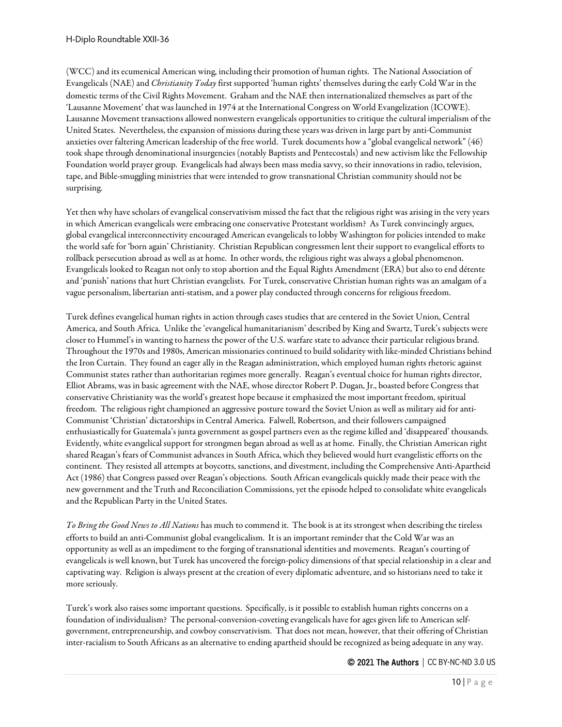(WCC) and its ecumenical American wing, including their promotion of human rights. The National Association of Evangelicals (NAE) and *Christianity Today* first supported 'human rights' themselves during the early Cold War in the domestic terms of the Civil Rights Movement. Graham and the NAE then internationalized themselves as part of the 'Lausanne Movement' that was launched in 1974 at the International Congress on World Evangelization (ICOWE). Lausanne Movement transactions allowed nonwestern evangelicals opportunities to critique the cultural imperialism of the United States. Nevertheless, the expansion of missions during these years was driven in large part by anti-Communist anxieties over faltering American leadership of the free world. Turek documents how a "global evangelical network" (46) took shape through denominational insurgencies (notably Baptists and Pentecostals) and new activism like the Fellowship Foundation world prayer group. Evangelicals had always been mass media savvy, so their innovations in radio, television, tape, and Bible-smuggling ministries that were intended to grow transnational Christian community should not be surprising.

Yet then why have scholars of evangelical conservativism missed the fact that the religious right was arising in the very years in which American evangelicals were embracing one conservative Protestant worldism? As Turek convincingly argues, global evangelical interconnectivity encouraged American evangelicals to lobby Washington for policies intended to make the world safe for 'born again' Christianity. Christian Republican congressmen lent their support to evangelical efforts to rollback persecution abroad as well as at home. In other words, the religious right was always a global phenomenon. Evangelicals looked to Reagan not only to stop abortion and the Equal Rights Amendment (ERA) but also to end détente and 'punish' nations that hurt Christian evangelists. For Turek, conservative Christian human rights was an amalgam of a vague personalism, libertarian anti-statism, and a power play conducted through concerns for religious freedom.

Turek defines evangelical human rights in action through cases studies that are centered in the Soviet Union, Central America, and South Africa. Unlike the 'evangelical humanitarianism' described by King and Swartz, Turek's subjects were closer to Hummel's in wanting to harness the power of the U.S. warfare state to advance their particular religious brand. Throughout the 1970s and 1980s, American missionaries continued to build solidarity with like-minded Christians behind the Iron Curtain. They found an eager ally in the Reagan administration, which employed human rights rhetoric against Communist states rather than authoritarian regimes more generally. Reagan's eventual choice for human rights director, Elliot Abrams, was in basic agreement with the NAE, whose director Robert P. Dugan, Jr., boasted before Congress that conservative Christianity was the world's greatest hope because it emphasized the most important freedom, spiritual freedom. The religious right championed an aggressive posture toward the Soviet Union as well as military aid for anti-Communist 'Christian' dictatorships in Central America. Falwell, Robertson, and their followers campaigned enthusiastically for Guatemala's junta government as gospel partners even as the regime killed and 'disappeared' thousands. Evidently, white evangelical support for strongmen began abroad as well as at home. Finally, the Christian American right shared Reagan's fears of Communist advances in South Africa, which they believed would hurt evangelistic efforts on the continent. They resisted all attempts at boycotts, sanctions, and divestment, including the Comprehensive Anti-Apartheid Act (1986) that Congress passed over Reagan's objections. South African evangelicals quickly made their peace with the new government and the Truth and Reconciliation Commissions, yet the episode helped to consolidate white evangelicals and the Republican Party in the United States.

*To Bring the Good News to All Nations* has much to commend it. The book is at its strongest when describing the tireless efforts to build an anti-Communist global evangelicalism. It is an important reminder that the Cold War was an opportunity as well as an impediment to the forging of transnational identities and movements. Reagan's courting of evangelicals is well known, but Turek has uncovered the foreign-policy dimensions of that special relationship in a clear and captivating way. Religion is always present at the creation of every diplomatic adventure, and so historians need to take it more seriously.

Turek's work also raises some important questions. Specifically, is it possible to establish human rights concerns on a foundation of individualism? The personal-conversion-coveting evangelicals have for ages given life to American selfgovernment, entrepreneurship, and cowboy conservativism. That does not mean, however, that their offering of Christian inter-racialism to South Africans as an alternative to ending apartheid should be recognized as being adequate in any way.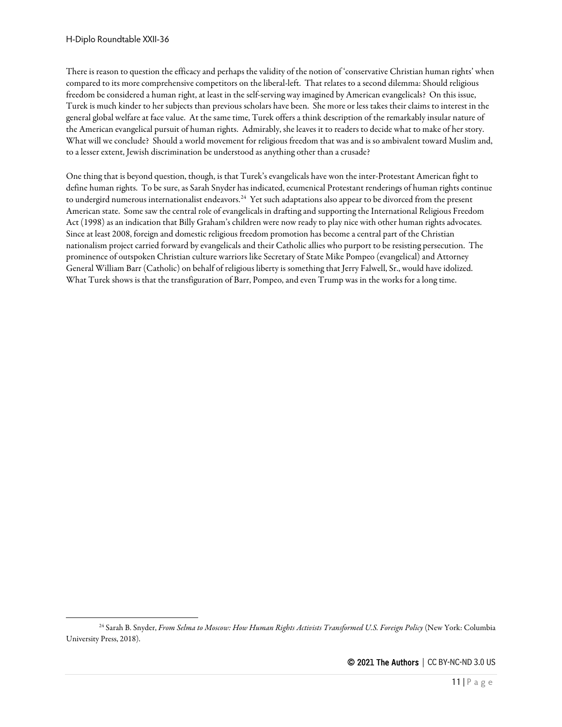There is reason to question the efficacy and perhaps the validity of the notion of 'conservative Christian human rights' when compared to its more comprehensive competitors on the liberal-left. That relates to a second dilemma: Should religious freedom be considered a human right, at least in the self-serving way imagined by American evangelicals? On this issue, Turek is much kinder to her subjects than previous scholars have been. She more or less takes their claims to interest in the general global welfare at face value. At the same time, Turek offers a think description of the remarkably insular nature of the American evangelical pursuit of human rights. Admirably, she leaves it to readers to decide what to make of her story. What will we conclude? Should a world movement for religious freedom that was and is so ambivalent toward Muslim and, to a lesser extent, Jewish discrimination be understood as anything other than a crusade?

One thing that is beyond question, though, is that Turek's evangelicals have won the inter-Protestant American fight to define human rights. To be sure, as Sarah Snyder has indicated, ecumenical Protestant renderings of human rights continue to undergird numerous internationalist endeavors.<sup>24</sup> Yet such adaptations also appear to be divorced from the present American state. Some saw the central role of evangelicals in drafting and supporting the International Religious Freedom Act (1998) as an indication that Billy Graham's children were now ready to play nice with other human rights advocates. Since at least 2008, foreign and domestic religious freedom promotion has become a central part of the Christian nationalism project carried forward by evangelicals and their Catholic allies who purport to be resisting persecution. The prominence of outspoken Christian culture warriors like Secretary of State Mike Pompeo (evangelical) and Attorney General William Barr (Catholic) on behalf of religious liberty is something that Jerry Falwell, Sr., would have idolized. What Turek shows is that the transfiguration of Barr, Pompeo, and even Trump was in the works for a long time.

<span id="page-10-0"></span><sup>24</sup> Sarah B. Snyder, *From Selma to Moscow: How Human Rights Activists Transformed U.S. Foreign Policy* (New York: Columbia University Press, 2018).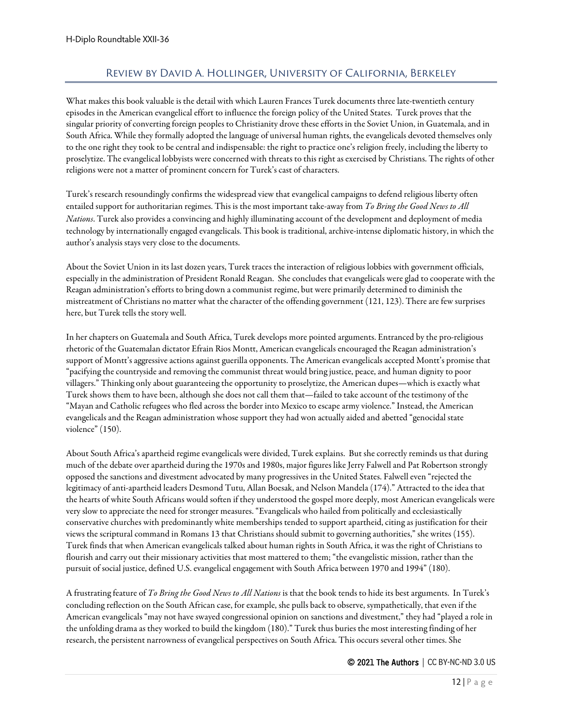# Review by David A. Hollinger, University of California, Berkeley

<span id="page-11-0"></span>What makes this book valuable is the detail with which Lauren Frances Turek documents three late-twentieth century episodes in the American evangelical effort to influence the foreign policy of the United States. Turek proves that the singular priority of converting foreign peoples to Christianity drove these efforts in the Soviet Union, in Guatemala, and in South Africa. While they formally adopted the language of universal human rights, the evangelicals devoted themselves only to the one right they took to be central and indispensable: the right to practice one's religion freely, including the liberty to proselytize. The evangelical lobbyists were concerned with threats to this right as exercised by Christians. The rights of other religions were not a matter of prominent concern for Turek's cast of characters.

Turek's research resoundingly confirms the widespread view that evangelical campaigns to defend religious liberty often entailed support for authoritarian regimes. This is the most important take-away from *To Bring the Good News to All Nations*. Turek also provides a convincing and highly illuminating account of the development and deployment of media technology by internationally engaged evangelicals. This book is traditional, archive-intense diplomatic history, in which the author's analysis stays very close to the documents.

About the Soviet Union in its last dozen years, Turek traces the interaction of religious lobbies with government officials, especially in the administration of President Ronald Reagan. She concludes that evangelicals were glad to cooperate with the Reagan administration's efforts to bring down a communist regime, but were primarily determined to diminish the mistreatment of Christians no matter what the character of the offending government (121, 123). There are few surprises here, but Turek tells the story well.

In her chapters on Guatemala and South Africa, Turek develops more pointed arguments. Entranced by the pro-religious rhetoric of the Guatemalan dictator Efrain Rios Montt, American evangelicals encouraged the Reagan administration's support of Montt's aggressive actions against guerilla opponents. The American evangelicals accepted Montt's promise that "pacifying the countryside and removing the communist threat would bring justice, peace, and human dignity to poor villagers." Thinking only about guaranteeing the opportunity to proselytize, the American dupes—which is exactly what Turek shows them to have been, although she does not call them that—failed to take account of the testimony of the "Mayan and Catholic refugees who fled across the border into Mexico to escape army violence." Instead, the American evangelicals and the Reagan administration whose support they had won actually aided and abetted "genocidal state violence" (150).

About South Africa's apartheid regime evangelicals were divided, Turek explains. But she correctly reminds us that during much of the debate over apartheid during the 1970s and 1980s, major figures like Jerry Falwell and Pat Robertson strongly opposed the sanctions and divestment advocated by many progressives in the United States. Falwell even "rejected the legitimacy of anti-apartheid leaders Desmond Tutu, Allan Boesak, and Nelson Mandela (174)." Attracted to the idea that the hearts of white South Africans would soften if they understood the gospel more deeply, most American evangelicals were very slow to appreciate the need for stronger measures. "Evangelicals who hailed from politically and ecclesiastically conservative churches with predominantly white memberships tended to support apartheid, citing as justification for their views the scriptural command in Romans 13 that Christians should submit to governing authorities," she writes (155). Turek finds that when American evangelicals talked about human rights in South Africa, it was the right of Christians to flourish and carry out their missionary activities that most mattered to them; "the evangelistic mission, rather than the pursuit of social justice, defined U.S. evangelical engagement with South Africa between 1970 and 1994" (180).

A frustrating feature of *To Bring the Good News to All Nations* is that the book tends to hide its best arguments. In Turek's concluding reflection on the South African case, for example, she pulls back to observe, sympathetically, that even if the American evangelicals "may not have swayed congressional opinion on sanctions and divestment," they had "played a role in the unfolding drama as they worked to build the kingdom (180)." Turek thus buries the most interesting finding of her research, the persistent narrowness of evangelical perspectives on South Africa. This occurs several other times. She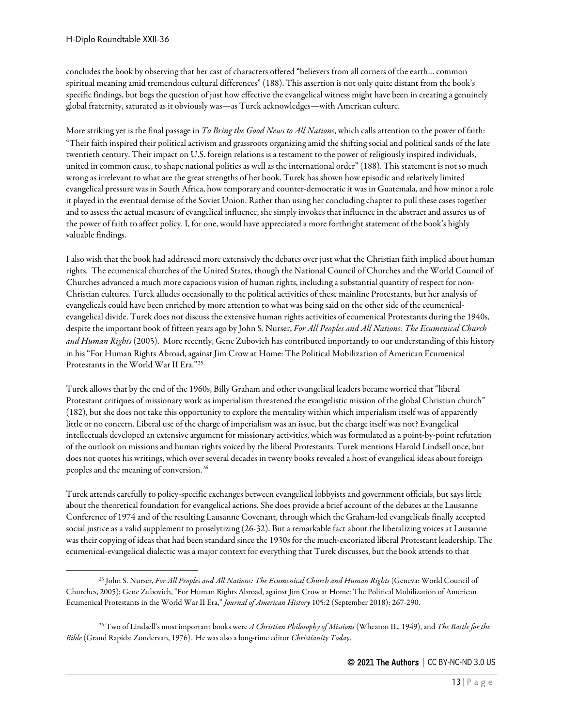concludes the book by observing that her cast of characters offered "believers from all corners of the earth… common spiritual meaning amid tremendous cultural differences" (188). This assertion is not only quite distant from the book's specific findings, but begs the question of just how effective the evangelical witness might have been in creating a genuinely global fraternity, saturated as it obviously was—as Turek acknowledges—with American culture.

More striking yet is the final passage in *To Bring the Good News to All Nations*, which calls attention to the power of faith: "Their faith inspired their political activism and grassroots organizing amid the shifting social and political sands of the late twentieth century. Their impact on U.S. foreign relations is a testament to the power of religiously inspired individuals, united in common cause, to shape national politics as well as the international order" (188). This statement is not so much wrong as irrelevant to what are the great strengths of her book. Turek has shown how episodic and relatively limited evangelical pressure was in South Africa, how temporary and counter-democratic it was in Guatemala, and how minor a role it played in the eventual demise of the Soviet Union. Rather than using her concluding chapter to pull these cases together and to assess the actual measure of evangelical influence, she simply invokes that influence in the abstract and assures us of the power of faith to affect policy. I, for one, would have appreciated a more forthright statement of the book's highly valuable findings.

I also wish that the book had addressed more extensively the debates over just what the Christian faith implied about human rights. The ecumenical churches of the United States, though the National Council of Churches and the World Council of Churches advanced a much more capacious vision of human rights, including a substantial quantity of respect for non-Christian cultures. Turek alludes occasionally to the political activities of these mainline Protestants, but her analysis of evangelicals could have been enriched by more attention to what was being said on the other side of the ecumenicalevangelical divide. Turek does not discuss the extensive human rights activities of ecumenical Protestants during the 1940s, despite the important book of fifteen years ago by John S. Nurser, *For All Peoples and All Nations: The Ecumenical Church and Human Rights* (2005). More recently, Gene Zubovich has contributed importantly to our understanding of this history in his "For Human Rights Abroad, against Jim Crow at Home: The Political Mobilization of American Ecumenical Protestants in the World War II Era."[25](#page-12-0)

Turek allows that by the end of the 1960s, Billy Graham and other evangelical leaders became worried that "liberal Protestant critiques of missionary work as imperialism threatened the evangelistic mission of the global Christian church" (182), but she does not take this opportunity to explore the mentality within which imperialism itself was of apparently little or no concern. Liberal use of the charge of imperialism was an issue, but the charge itself was not? Evangelical intellectuals developed an extensive argument for missionary activities, which was formulated as a point-by-point refutation of the outlook on missions and human rights voiced by the liberal Protestants. Turek mentions Harold Lindsell once, but does not quotes his writings, which over several decades in twenty books revealed a host of evangelical ideas about foreign peoples and the meaning of conversion.[26](#page-12-1)

Turek attends carefully to policy-specific exchanges between evangelical lobbyists and government officials, but says little about the theoretical foundation for evangelical actions. She does provide a brief account of the debates at the Lausanne Conference of 1974 and of the resulting Lausanne Covenant, through which the Graham-led evangelicals finally accepted social justice as a valid supplement to proselytizing (26-32). But a remarkable fact about the liberalizing voices at Lausanne was their copying of ideas that had been standard since the 1930s for the much-excoriated liberal Protestant leadership. The ecumenical-evangelical dialectic was a major context for everything that Turek discusses, but the book attends to that

<span id="page-12-0"></span><sup>25</sup> John S. Nurser, *For All Peoples and All Nations: The Ecumenical Church and Human Rights* (Geneva: World Council of Churches, 2005); Gene Zubovich, "For Human Rights Abroad, against Jim Crow at Home: The Political Mobilization of American Ecumenical Protestants in the World War II Era," *Journal of American History* 105:2 (September 2018): 267-290.

<span id="page-12-1"></span><sup>26</sup> Two of Lindsell's most important books were *A Christian Philosophy of Missions* (Wheaton IL, 1949), and *The Battle for the Bible* (Grand Rapids: Zondervan, 1976). He was also a long-time editor *Christianity Today*.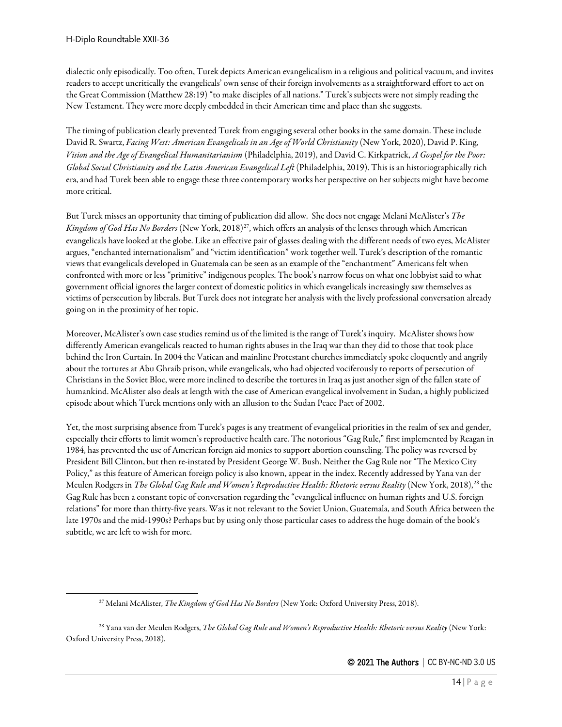dialectic only episodically. Too often, Turek depicts American evangelicalism in a religious and political vacuum, and invites readers to accept uncritically the evangelicals' own sense of their foreign involvements as a straightforward effort to act on the Great Commission (Matthew 28:19) "to make disciples of all nations." Turek's subjects were not simply reading the New Testament. They were more deeply embedded in their American time and place than she suggests.

The timing of publication clearly prevented Turek from engaging several other books in the same domain. These include David R. Swartz, *Facing West: American Evangelicals in an Age of World Christianity* (New York, 2020), David P. King, *Vision and the Age of Evangelical Humanitarianism* (Philadelphia, 2019), and David C. Kirkpatrick, *A Gospel for the Poor: Global Social Christianity and the Latin American Evangelical Left* (Philadelphia, 2019). This is an historiographically rich era, and had Turek been able to engage these three contemporary works her perspective on her subjects might have become more critical.

But Turek misses an opportunity that timing of publication did allow. She does not engage Melani McAlister's *The Kingdom of God Has No Borders* (New York, 2018)<sup>27</sup>, which offers an analysis of the lenses through which American evangelicals have looked at the globe. Like an effective pair of glasses dealing with the different needs of two eyes, McAlister argues, "enchanted internationalism" and "victim identification" work together well. Turek's description of the romantic views that evangelicals developed in Guatemala can be seen as an example of the "enchantment" Americans felt when confronted with more or less "primitive" indigenous peoples. The book's narrow focus on what one lobbyist said to what government official ignores the larger context of domestic politics in which evangelicals increasingly saw themselves as victims of persecution by liberals. But Turek does not integrate her analysis with the lively professional conversation already going on in the proximity of her topic.

Moreover, McAlister's own case studies remind us of the limited is the range of Turek's inquiry. McAlister shows how differently American evangelicals reacted to human rights abuses in the Iraq war than they did to those that took place behind the Iron Curtain. In 2004 the Vatican and mainline Protestant churches immediately spoke eloquently and angrily about the tortures at Abu Ghraib prison, while evangelicals, who had objected vociferously to reports of persecution of Christians in the Soviet Bloc, were more inclined to describe the tortures in Iraq as just another sign of the fallen state of humankind. McAlister also deals at length with the case of American evangelical involvement in Sudan, a highly publicized episode about which Turek mentions only with an allusion to the Sudan Peace Pact of 2002.

Yet, the most surprising absence from Turek's pages is any treatment of evangelical priorities in the realm of sex and gender, especially their efforts to limit women's reproductive health care. The notorious "Gag Rule," first implemented by Reagan in 1984, has prevented the use of American foreign aid monies to support abortion counseling. The policy was reversed by President Bill Clinton, but then re-instated by President George W. Bush. Neither the Gag Rule nor "The Mexico City Policy," as this feature of American foreign policy is also known, appear in the index. Recently addressed by Yana van der Meulen Rodgers in *The Global Gag Rule and Women's Reproductive Health: Rhetoric versus Reality* (New York, 2018),<sup>[28](#page-13-1)</sup> the Gag Rule has been a constant topic of conversation regarding the "evangelical influence on human rights and U.S. foreign relations" for more than thirty-five years. Was it not relevant to the Soviet Union, Guatemala, and South Africa between the late 1970s and the mid-1990s? Perhaps but by using only those particular cases to address the huge domain of the book's subtitle, we are left to wish for more.

<sup>27</sup> Melani McAlister, *The Kingdom of God Has No Borders* (New York: Oxford University Press, 2018).

<span id="page-13-1"></span><span id="page-13-0"></span><sup>28</sup> Yana van der Meulen Rodgers, *The Global Gag Rule and Women's Reproductive Health: Rhetoric versus Reality* (New York: Oxford University Press, 2018).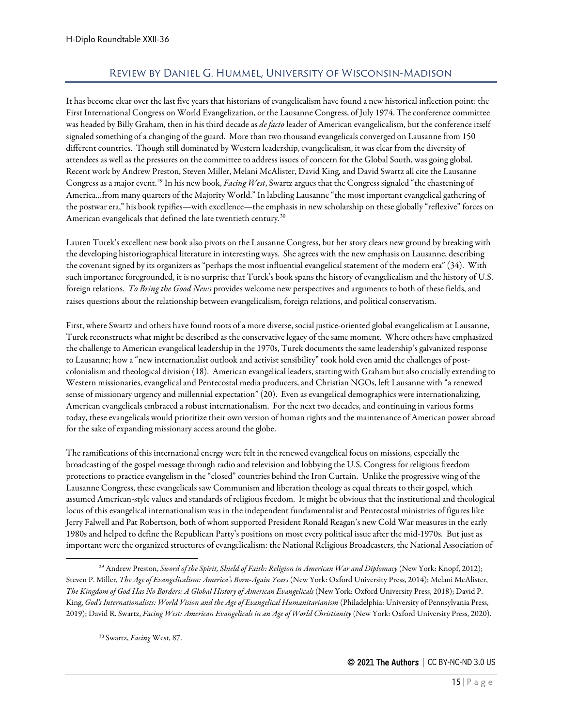# Review by Daniel G. Hummel, University of Wisconsin-Madison

<span id="page-14-0"></span>It has become clear over the last five years that historians of evangelicalism have found a new historical inflection point: the First International Congress on World Evangelization, or the Lausanne Congress, of July 1974. The conference committee was headed by Billy Graham, then in his third decade as *de facto* leader of American evangelicalism, but the conference itself signaled something of a changing of the guard. More than two thousand evangelicals converged on Lausanne from 150 different countries. Though still dominated by Western leadership, evangelicalism, it was clear from the diversity of attendees as well as the pressures on the committee to address issues of concern for the Global South, was going global. Recent work by Andrew Preston, Steven Miller, Melani McAlister, David King, and David Swartz all cite the Lausanne Congress as a major event.[29](#page-14-1) In his new book, *Facing West*, Swartz argues that the Congress signaled "the chastening of America…from many quarters of the Majority World." In labeling Lausanne "the most important evangelical gathering of the postwar era," his book typifies—with excellence—the emphasis in new scholarship on these globally "reflexive" forces on American evangelicals that defined the late twentieth century.<sup>[30](#page-14-2)</sup>

Lauren Turek's excellent new book also pivots on the Lausanne Congress, but her story clears new ground by breaking with the developing historiographical literature in interesting ways. She agrees with the new emphasis on Lausanne, describing the covenant signed by its organizers as "perhaps the most influential evangelical statement of the modern era" (34). With such importance foregrounded, it is no surprise that Turek's book spans the history of evangelicalism and the history of U.S. foreign relations. *To Bring the Good News* provides welcome new perspectives and arguments to both of these fields, and raises questions about the relationship between evangelicalism, foreign relations, and political conservatism.

First, where Swartz and others have found roots of a more diverse, social justice-oriented global evangelicalism at Lausanne, Turek reconstructs what might be described as the conservative legacy of the same moment. Where others have emphasized the challenge to American evangelical leadership in the 1970s, Turek documents the same leadership's galvanized response to Lausanne; how a "new internationalist outlook and activist sensibility" took hold even amid the challenges of postcolonialism and theological division (18). American evangelical leaders, starting with Graham but also crucially extending to Western missionaries, evangelical and Pentecostal media producers, and Christian NGOs, left Lausanne with "a renewed sense of missionary urgency and millennial expectation" (20). Even as evangelical demographics were internationalizing, American evangelicals embraced a robust internationalism. For the next two decades, and continuing in various forms today, these evangelicals would prioritize their own version of human rights and the maintenance of American power abroad for the sake of expanding missionary access around the globe.

The ramifications of this international energy were felt in the renewed evangelical focus on missions, especially the broadcasting of the gospel message through radio and television and lobbying the U.S. Congress for religious freedom protections to practice evangelism in the "closed" countries behind the Iron Curtain. Unlike the progressive wing of the Lausanne Congress, these evangelicals saw Communism and liberation theology as equal threats to their gospel, which assumed American-style values and standards of religious freedom. It might be obvious that the institutional and theological locus of this evangelical internationalism was in the independent fundamentalist and Pentecostal ministries of figures like Jerry Falwell and Pat Robertson, both of whom supported President Ronald Reagan's new Cold War measures in the early 1980s and helped to define the Republican Party's positions on most every political issue after the mid-1970s. But just as important were the organized structures of evangelicalism: the National Religious Broadcasters, the National Association of

<sup>30</sup> Swartz, *Facing* West, 87.

<span id="page-14-2"></span><span id="page-14-1"></span><sup>29</sup> Andrew Preston, *Sword of the Spirit, Shield of Faith: Religion in American War and Diplomacy* (New York: Knopf, 2012); Steven P. Miller, *The Age of Evangelicalism: America's Born-Again Years* (New York: Oxford University Press, 2014); Melani McAlister, *The Kingdom of God Has No Borders: A Global History of American Evangelicals* (New York: Oxford University Press, 2018); David P. King, *God's Internationalists: World Vision and the Age of Evangelical Humanitarianism* (Philadelphia: University of Pennsylvania Press, 2019); David R. Swartz, *Facing West: American Evangelicals in an Age of World Christianity* (New York: Oxford University Press, 2020).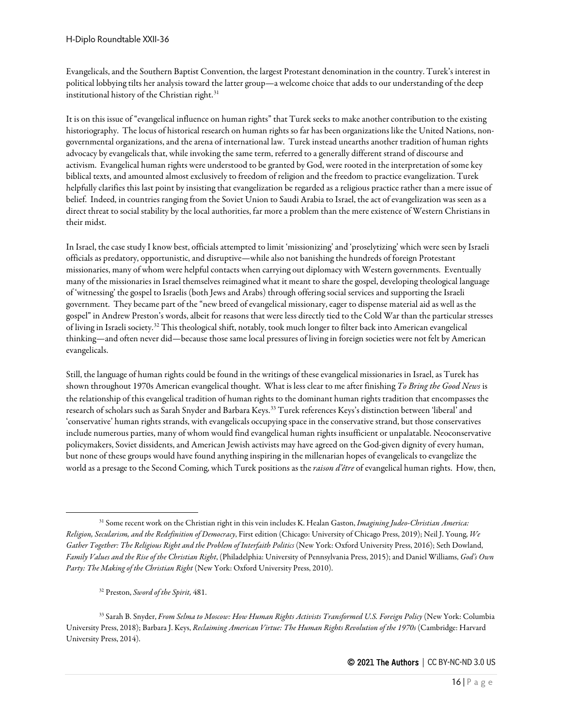Evangelicals, and the Southern Baptist Convention, the largest Protestant denomination in the country. Turek's interest in political lobbying tilts her analysis toward the latter group—a welcome choice that adds to our understanding of the deep institutional history of the Christian right.<sup>[31](#page-15-0)</sup>

It is on this issue of "evangelical influence on human rights" that Turek seeks to make another contribution to the existing historiography. The locus of historical research on human rights so far has been organizations like the United Nations, nongovernmental organizations, and the arena of international law. Turek instead unearths another tradition of human rights advocacy by evangelicals that, while invoking the same term, referred to a generally different strand of discourse and activism. Evangelical human rights were understood to be granted by God, were rooted in the interpretation of some key biblical texts, and amounted almost exclusively to freedom of religion and the freedom to practice evangelization. Turek helpfully clarifies this last point by insisting that evangelization be regarded as a religious practice rather than a mere issue of belief. Indeed, in countries ranging from the Soviet Union to Saudi Arabia to Israel, the act of evangelization was seen as a direct threat to social stability by the local authorities, far more a problem than the mere existence of Western Christians in their midst.

In Israel, the case study I know best, officials attempted to limit 'missionizing' and 'proselytizing' which were seen by Israeli officials as predatory, opportunistic, and disruptive—while also not banishing the hundreds of foreign Protestant missionaries, many of whom were helpful contacts when carrying out diplomacy with Western governments. Eventually many of the missionaries in Israel themselves reimagined what it meant to share the gospel, developing theological language of 'witnessing' the gospel to Israelis (both Jews and Arabs) through offering social services and supporting the Israeli government. They became part of the "new breed of evangelical missionary, eager to dispense material aid as well as the gospel" in Andrew Preston's words, albeit for reasons that were less directly tied to the Cold War than the particular stresses of living in Israeli society.[32](#page-15-1) This theological shift, notably, took much longer to filter back into American evangelical thinking—and often never did—because those same local pressures of living in foreign societies were not felt by American evangelicals.

Still, the language of human rights could be found in the writings of these evangelical missionaries in Israel, as Turek has shown throughout 1970s American evangelical thought. What is less clear to me after finishing *To Bring the Good News* is the relationship of this evangelical tradition of human rights to the dominant human rights tradition that encompasses the research of scholars such as Sarah Snyder and Barbara Keys.[33](#page-15-2) Turek references Keys's distinction between 'liberal' and 'conservative' human rights strands, with evangelicals occupying space in the conservative strand, but those conservatives include numerous parties, many of whom would find evangelical human rights insufficient or unpalatable. Neoconservative policymakers, Soviet dissidents, and American Jewish activists may have agreed on the God-given dignity of every human, but none of these groups would have found anything inspiring in the millenarian hopes of evangelicals to evangelize the world as a presage to the Second Coming, which Turek positions as the *raison d'être* of evangelical human rights. How, then,

<span id="page-15-0"></span><sup>31</sup> Some recent work on the Christian right in this vein includes K. Healan Gaston, *Imagining Judeo-Christian America: Religion, Secularism, and the Redefinition of Democracy*, First edition (Chicago: University of Chicago Press, 2019); Neil J. Young, *We Gather Together: The Religious Right and the Problem of Interfaith Politics* (New York: Oxford University Press, 2016); Seth Dowland, *Family Values and the Rise of the Christian Right*, (Philadelphia: University of Pennsylvania Press, 2015); and Daniel Williams, *God's Own Party: The Making of the Christian Right* (New York: Oxford University Press, 2010).

<sup>32</sup> Preston, *Sword of the Spirit,* 481.

<span id="page-15-2"></span><span id="page-15-1"></span><sup>33</sup> Sarah B. Snyder, *From Selma to Moscow: How Human Rights Activists Transformed U.S. Foreign Policy* (New York: Columbia University Press, 2018); Barbara J. Keys, *Reclaiming American Virtue: The Human Rights Revolution of the 1970s* (Cambridge: Harvard University Press, 2014).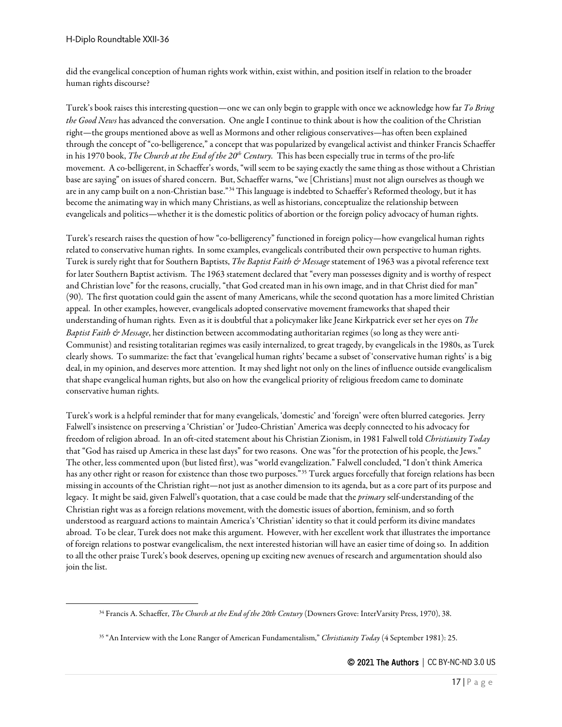did the evangelical conception of human rights work within, exist within, and position itself in relation to the broader human rights discourse?

Turek's book raises this interesting question—one we can only begin to grapple with once we acknowledge how far *To Bring the Good News* has advanced the conversation. One angle I continue to think about is how the coalition of the Christian right—the groups mentioned above as well as Mormons and other religious conservatives—has often been explained through the concept of "co-belligerence," a concept that was popularized by evangelical activist and thinker Francis Schaeffer in his 1970 book, *The Church at the End of the 20th Century.* This has been especially true in terms of the pro-life movement. A co-belligerent, in Schaeffer's words, "will seem to be saying exactly the same thing as those without a Christian base are saying" on issues of shared concern. But, Schaeffer warns, "we [Christians] must not align ourselves as though we are in any camp built on a non-Christian base."<sup>[34](#page-16-0)</sup> This language is indebted to Schaeffer's Reformed theology, but it has become the animating way in which many Christians, as well as historians, conceptualize the relationship between evangelicals and politics—whether it is the domestic politics of abortion or the foreign policy advocacy of human rights.

Turek's research raises the question of how "co-belligerency" functioned in foreign policy—how evangelical human rights related to conservative human rights. In some examples, evangelicals contributed their own perspective to human rights. Turek is surely right that for Southern Baptists, *The Baptist Faith & Message* statement of 1963 was a pivotal reference text for later Southern Baptist activism. The 1963 statement declared that "every man possesses dignity and is worthy of respect and Christian love" for the reasons, crucially, "that God created man in his own image, and in that Christ died for man" (90). The first quotation could gain the assent of many Americans, while the second quotation has a more limited Christian appeal. In other examples, however, evangelicals adopted conservative movement frameworks that shaped their understanding of human rights. Even as it is doubtful that a policymaker like Jeane Kirkpatrick ever set her eyes on *The Baptist Faith & Message*, her distinction between accommodating authoritarian regimes (so long as they were anti-Communist) and resisting totalitarian regimes was easily internalized, to great tragedy, by evangelicals in the 1980s, as Turek clearly shows. To summarize: the fact that 'evangelical human rights' became a subset of 'conservative human rights' is a big deal, in my opinion, and deserves more attention. It may shed light not only on the lines of influence outside evangelicalism that shape evangelical human rights, but also on how the evangelical priority of religious freedom came to dominate conservative human rights.

Turek's work is a helpful reminder that for many evangelicals, 'domestic' and 'foreign' were often blurred categories. Jerry Falwell's insistence on preserving a 'Christian' or 'Judeo-Christian' America was deeply connected to his advocacy for freedom of religion abroad. In an oft-cited statement about his Christian Zionism, in 1981 Falwell told *Christianity Today*  that "God has raised up America in these last days" for two reasons. One was "for the protection of his people, the Jews." The other, less commented upon (but listed first), was "world evangelization." Falwell concluded, "I don't think America has any other right or reason for existence than those two purposes."[35](#page-16-1) Turek argues forcefully that foreign relations has been missing in accounts of the Christian right—not just as another dimension to its agenda, but as a core part of its purpose and legacy. It might be said, given Falwell's quotation, that a case could be made that the *primary* self-understanding of the Christian right was as a foreign relations movement, with the domestic issues of abortion, feminism, and so forth understood as rearguard actions to maintain America's 'Christian' identity so that it could perform its divine mandates abroad. To be clear, Turek does not make this argument. However, with her excellent work that illustrates the importance of foreign relations to postwar evangelicalism, the next interested historian will have an easier time of doing so. In addition to all the other praise Turek's book deserves, opening up exciting new avenues of research and argumentation should also join the list.

<span id="page-16-0"></span><sup>34</sup> Francis A. Schaeffer, *The Church at the End of the 20th Century* (Downers Grove: InterVarsity Press, 1970), 38.

<span id="page-16-1"></span><sup>35</sup> "An Interview with the Lone Ranger of American Fundamentalism," *Christianity Today* (4 September 1981): 25.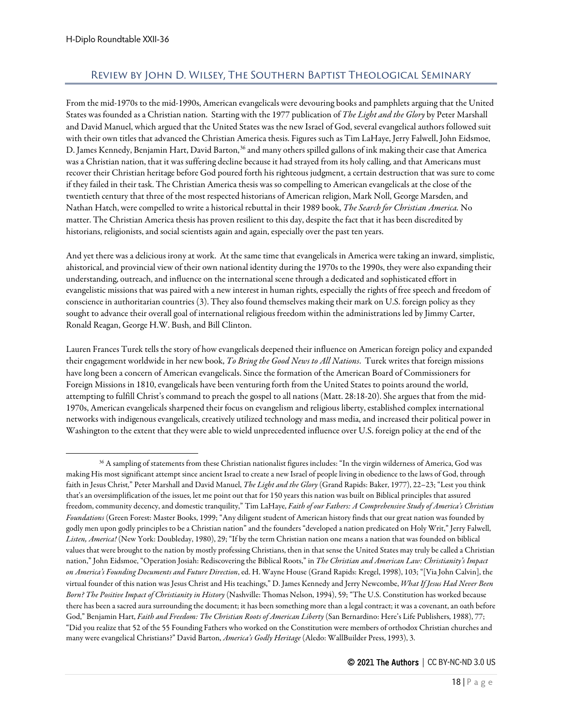# <span id="page-17-0"></span>Review by John D. Wilsey, The Southern Baptist Theological Seminary

From the mid-1970s to the mid-1990s, American evangelicals were devouring books and pamphlets arguing that the United States was founded as a Christian nation. Starting with the 1977 publication of *The Light and the Glory* by Peter Marshall and David Manuel, which argued that the United States was the new Israel of God, several evangelical authors followed suit with their own titles that advanced the Christian America thesis. Figures such as Tim LaHaye, Jerry Falwell, John Eidsmoe, D. James Kennedy, Benjamin Hart, David Barton,<sup>[36](#page-17-1)</sup> and many others spilled gallons of ink making their case that America was a Christian nation, that it was suffering decline because it had strayed from its holy calling, and that Americans must recover their Christian heritage before God poured forth his righteous judgment, a certain destruction that was sure to come if they failed in their task. The Christian America thesis was so compelling to American evangelicals at the close of the twentieth century that three of the most respected historians of American religion, Mark Noll, George Marsden, and Nathan Hatch, were compelled to write a historical rebuttal in their 1989 book, *The Search for Christian America.* No matter. The Christian America thesis has proven resilient to this day, despite the fact that it has been discredited by historians, religionists, and social scientists again and again, especially over the past ten years.

And yet there was a delicious irony at work. At the same time that evangelicals in America were taking an inward, simplistic, ahistorical, and provincial view of their own national identity during the 1970s to the 1990s, they were also expanding their understanding, outreach, and influence on the international scene through a dedicated and sophisticated effort in evangelistic missions that was paired with a new interest in human rights, especially the rights of free speech and freedom of conscience in authoritarian countries (3). They also found themselves making their mark on U.S. foreign policy as they sought to advance their overall goal of international religious freedom within the administrations led by Jimmy Carter, Ronald Reagan, George H.W. Bush, and Bill Clinton.

Lauren Frances Turek tells the story of how evangelicals deepened their influence on American foreign policy and expanded their engagement worldwide in her new book, *To Bring the Good News to All Nations*. Turek writes that foreign missions have long been a concern of American evangelicals. Since the formation of the American Board of Commissioners for Foreign Missions in 1810, evangelicals have been venturing forth from the United States to points around the world, attempting to fulfill Christ's command to preach the gospel to all nations (Matt. 28:18-20). She argues that from the mid-1970s, American evangelicals sharpened their focus on evangelism and religious liberty, established complex international networks with indigenous evangelicals, creatively utilized technology and mass media, and increased their political power in Washington to the extent that they were able to wield unprecedented influence over U.S. foreign policy at the end of the

<span id="page-17-1"></span><sup>36</sup> A sampling of statements from these Christian nationalist figures includes: "In the virgin wilderness of America, God was making His most significant attempt since ancient Israel to create a new Israel of people living in obedience to the laws of God, through faith in Jesus Christ," Peter Marshall and David Manuel, *The Light and the Glory* (Grand Rapids: Baker, 1977), 22–23; "Lest you think that's an oversimplification of the issues, let me point out that for 150 years this nation was built on Biblical principles that assured freedom, community decency, and domestic tranquility," Tim LaHaye, *Faith of our Fathers: A Comprehensive Study of America's Christian Foundations* (Green Forest: Master Books, 1999; "Any diligent student of American history finds that our great nation was founded by godly men upon godly principles to be a Christian nation" and the founders "developed a nation predicated on Holy Writ," Jerry Falwell, *Listen, America!* (New York: Doubleday, 1980), 29; "If by the term Christian nation one means a nation that was founded on biblical values that were brought to the nation by mostly professing Christians, then in that sense the United States may truly be called a Christian nation," John Eidsmoe, "Operation Josiah: Rediscovering the Biblical Roots," in *The Christian and American Law: Christianity's Impact on America's Founding Documents and Future Direction*, ed. H. Wayne House (Grand Rapids: Kregel, 1998), 103; "[Via John Calvin], the virtual founder of this nation was Jesus Christ and His teachings," D. James Kennedy and Jerry Newcombe, *What If Jesus Had Never Been Born? The Positive Impact of Christianity in History* (Nashville: Thomas Nelson, 1994), 59; "The U.S. Constitution has worked because there has been a sacred aura surrounding the document; it has been something more than a legal contract; it was a covenant, an oath before God," Benjamin Hart, *Faith and Freedom: The Christian Roots of American Liberty* (San Bernardino: Here's Life Publishers, 1988), 77; "Did you realize that 52 of the 55 Founding Fathers who worked on the Constitution were members of orthodox Christian churches and many were evangelical Christians?" David Barton, *America's Godly Heritage* (Aledo: WallBuilder Press, 1993), 3.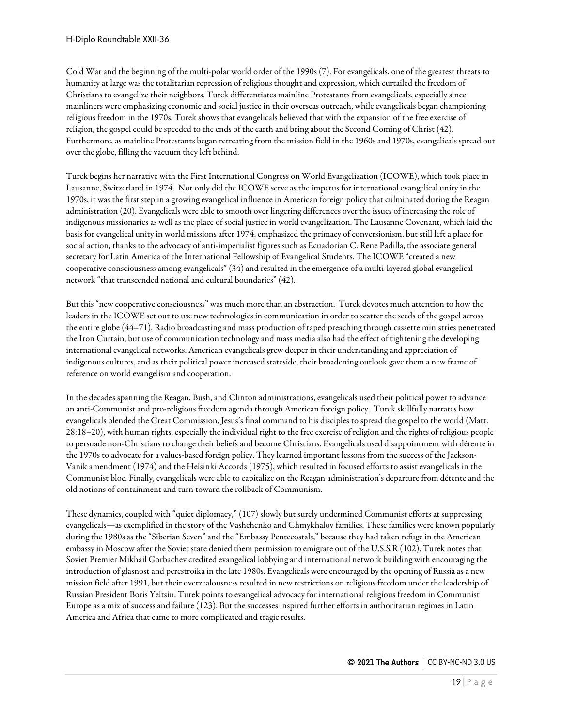Cold War and the beginning of the multi-polar world order of the 1990s (7). For evangelicals, one of the greatest threats to humanity at large was the totalitarian repression of religious thought and expression, which curtailed the freedom of Christians to evangelize their neighbors. Turek differentiates mainline Protestants from evangelicals, especially since mainliners were emphasizing economic and social justice in their overseas outreach, while evangelicals began championing religious freedom in the 1970s. Turek shows that evangelicals believed that with the expansion of the free exercise of religion, the gospel could be speeded to the ends of the earth and bring about the Second Coming of Christ (42). Furthermore, as mainline Protestants began retreating from the mission field in the 1960s and 1970s, evangelicals spread out over the globe, filling the vacuum they left behind.

Turek begins her narrative with the First International Congress on World Evangelization (ICOWE), which took place in Lausanne, Switzerland in 1974. Not only did the ICOWE serve as the impetus for international evangelical unity in the 1970s, it was the first step in a growing evangelical influence in American foreign policy that culminated during the Reagan administration (20). Evangelicals were able to smooth over lingering differences over the issues of increasing the role of indigenous missionaries as well as the place of social justice in world evangelization. The Lausanne Covenant, which laid the basis for evangelical unity in world missions after 1974, emphasized the primacy of conversionism, but still left a place for social action, thanks to the advocacy of anti-imperialist figures such as Ecuadorian C. Rene Padilla, the associate general secretary for Latin America of the International Fellowship of Evangelical Students. The ICOWE "created a new cooperative consciousness among evangelicals" (34) and resulted in the emergence of a multi-layered global evangelical network "that transcended national and cultural boundaries" (42).

But this "new cooperative consciousness" was much more than an abstraction. Turek devotes much attention to how the leaders in the ICOWE set out to use new technologies in communication in order to scatter the seeds of the gospel across the entire globe (44–71). Radio broadcasting and mass production of taped preaching through cassette ministries penetrated the Iron Curtain, but use of communication technology and mass media also had the effect of tightening the developing international evangelical networks. American evangelicals grew deeper in their understanding and appreciation of indigenous cultures, and as their political power increased stateside, their broadening outlook gave them a new frame of reference on world evangelism and cooperation.

In the decades spanning the Reagan, Bush, and Clinton administrations, evangelicals used their political power to advance an anti-Communist and pro-religious freedom agenda through American foreign policy. Turek skillfully narrates how evangelicals blended the Great Commission, Jesus's final command to his disciples to spread the gospel to the world (Matt. 28:18–20), with human rights, especially the individual right to the free exercise of religion and the rights of religious people to persuade non-Christians to change their beliefs and become Christians. Evangelicals used disappointment with détente in the 1970s to advocate for a values-based foreign policy. They learned important lessons from the success of the Jackson-Vanik amendment (1974) and the Helsinki Accords (1975), which resulted in focused efforts to assist evangelicals in the Communist bloc. Finally, evangelicals were able to capitalize on the Reagan administration's departure from détente and the old notions of containment and turn toward the rollback of Communism.

These dynamics, coupled with "quiet diplomacy," (107) slowly but surely undermined Communist efforts at suppressing evangelicals—as exemplified in the story of the Vashchenko and Chmykhalov families. These families were known popularly during the 1980s as the "Siberian Seven" and the "Embassy Pentecostals," because they had taken refuge in the American embassy in Moscow after the Soviet state denied them permission to emigrate out of the U.S.S.R (102). Turek notes that Soviet Premier Mikhail Gorbachev credited evangelical lobbying and international network building with encouraging the introduction of glasnost and perestroika in the late 1980s. Evangelicals were encouraged by the opening of Russia as a new mission field after 1991, but their overzealousness resulted in new restrictions on religious freedom under the leadership of Russian President Boris Yeltsin. Turek points to evangelical advocacy for international religious freedom in Communist Europe as a mix of success and failure (123). But the successes inspired further efforts in authoritarian regimes in Latin America and Africa that came to more complicated and tragic results.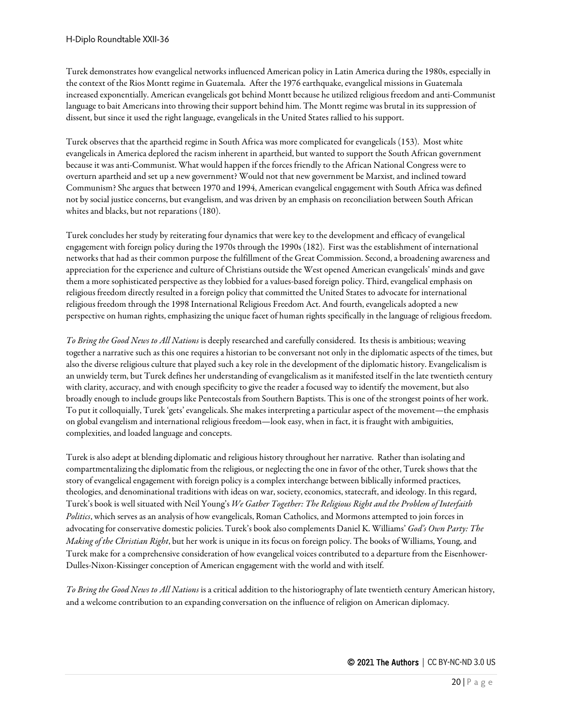Turek demonstrates how evangelical networks influenced American policy in Latin America during the 1980s, especially in the context of the Rios Montt regime in Guatemala. After the 1976 earthquake, evangelical missions in Guatemala increased exponentially. American evangelicals got behind Montt because he utilized religious freedom and anti-Communist language to bait Americans into throwing their support behind him. The Montt regime was brutal in its suppression of dissent, but since it used the right language, evangelicals in the United States rallied to his support.

Turek observes that the apartheid regime in South Africa was more complicated for evangelicals (153). Most white evangelicals in America deplored the racism inherent in apartheid, but wanted to support the South African government because it was anti-Communist. What would happen if the forces friendly to the African National Congress were to overturn apartheid and set up a new government? Would not that new government be Marxist, and inclined toward Communism? She argues that between 1970 and 1994, American evangelical engagement with South Africa was defined not by social justice concerns, but evangelism, and was driven by an emphasis on reconciliation between South African whites and blacks, but not reparations (180).

Turek concludes her study by reiterating four dynamics that were key to the development and efficacy of evangelical engagement with foreign policy during the 1970s through the 1990s (182). First was the establishment of international networks that had as their common purpose the fulfillment of the Great Commission. Second, a broadening awareness and appreciation for the experience and culture of Christians outside the West opened American evangelicals' minds and gave them a more sophisticated perspective as they lobbied for a values-based foreign policy. Third, evangelical emphasis on religious freedom directly resulted in a foreign policy that committed the United States to advocate for international religious freedom through the 1998 International Religious Freedom Act. And fourth, evangelicals adopted a new perspective on human rights, emphasizing the unique facet of human rights specifically in the language of religious freedom.

*To Bring the Good News to All Nations* is deeply researched and carefully considered. Its thesis is ambitious; weaving together a narrative such as this one requires a historian to be conversant not only in the diplomatic aspects of the times, but also the diverse religious culture that played such a key role in the development of the diplomatic history. Evangelicalism is an unwieldy term, but Turek defines her understanding of evangelicalism as it manifested itself in the late twentieth century with clarity, accuracy, and with enough specificity to give the reader a focused way to identify the movement, but also broadly enough to include groups like Pentecostals from Southern Baptists. This is one of the strongest points of her work. To put it colloquially, Turek 'gets' evangelicals. She makes interpreting a particular aspect of the movement—the emphasis on global evangelism and international religious freedom—look easy, when in fact, it is fraught with ambiguities, complexities, and loaded language and concepts.

Turek is also adept at blending diplomatic and religious history throughout her narrative. Rather than isolating and compartmentalizing the diplomatic from the religious, or neglecting the one in favor of the other, Turek shows that the story of evangelical engagement with foreign policy is a complex interchange between biblically informed practices, theologies, and denominational traditions with ideas on war, society, economics, statecraft, and ideology. In this regard, Turek's book is well situated with Neil Young's *We Gather Together: The Religious Right and the Problem of Interfaith Politics*, which serves as an analysis of how evangelicals, Roman Catholics, and Mormons attempted to join forces in advocating for conservative domestic policies. Turek's book also complements Daniel K. Williams' *God's Own Party: The Making of the Christian Right*, but her work is unique in its focus on foreign policy. The books of Williams, Young, and Turek make for a comprehensive consideration of how evangelical voices contributed to a departure from the Eisenhower-Dulles-Nixon-Kissinger conception of American engagement with the world and with itself.

*To Bring the Good News to All Nations* is a critical addition to the historiography of late twentieth century American history, and a welcome contribution to an expanding conversation on the influence of religion on American diplomacy.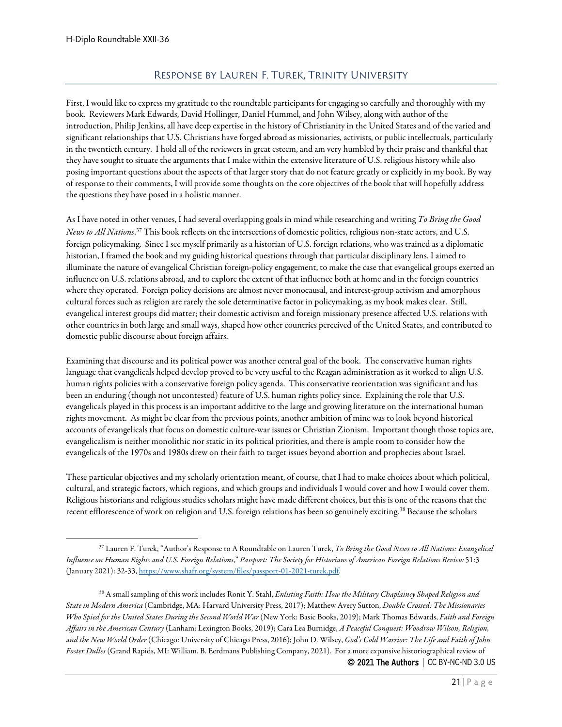### Response by Lauren F. Turek, Trinity University

<span id="page-20-0"></span>First, I would like to express my gratitude to the roundtable participants for engaging so carefully and thoroughly with my book. Reviewers Mark Edwards, David Hollinger, Daniel Hummel, and John Wilsey, along with author of the introduction, Philip Jenkins, all have deep expertise in the history of Christianity in the United States and of the varied and significant relationships that U.S. Christians have forged abroad as missionaries, activists, or public intellectuals, particularly in the twentieth century. I hold all of the reviewers in great esteem, and am very humbled by their praise and thankful that they have sought to situate the arguments that I make within the extensive literature of U.S. religious history while also posing important questions about the aspects of that larger story that do not feature greatly or explicitly in my book. By way of response to their comments, I will provide some thoughts on the core objectives of the book that will hopefully address the questions they have posed in a holistic manner.

As I have noted in other venues, I had several overlapping goals in mind while researching and writing *To Bring the Good News to All Nations*. [37](#page-20-1) This book reflects on the intersections of domestic politics, religious non-state actors, and U.S. foreign policymaking. Since I see myself primarily as a historian of U.S. foreign relations, who was trained as a diplomatic historian, I framed the book and my guiding historical questions through that particular disciplinary lens. I aimed to illuminate the nature of evangelical Christian foreign-policy engagement, to make the case that evangelical groups exerted an influence on U.S. relations abroad, and to explore the extent of that influence both at home and in the foreign countries where they operated. Foreign policy decisions are almost never monocausal, and interest-group activism and amorphous cultural forces such as religion are rarely the sole determinative factor in policymaking, as my book makes clear. Still, evangelical interest groups did matter; their domestic activism and foreign missionary presence affected U.S. relations with other countries in both large and small ways, shaped how other countries perceived of the United States, and contributed to domestic public discourse about foreign affairs.

Examining that discourse and its political power was another central goal of the book. The conservative human rights language that evangelicals helped develop proved to be very useful to the Reagan administration as it worked to align U.S. human rights policies with a conservative foreign policy agenda. This conservative reorientation was significant and has been an enduring (though not uncontested) feature of U.S. human rights policy since. Explaining the role that U.S. evangelicals played in this process is an important additive to the large and growing literature on the international human rights movement. As might be clear from the previous points, another ambition of mine was to look beyond historical accounts of evangelicals that focus on domestic culture-war issues or Christian Zionism. Important though those topics are, evangelicalism is neither monolithic nor static in its political priorities, and there is ample room to consider how the evangelicals of the 1970s and 1980s drew on their faith to target issues beyond abortion and prophecies about Israel.

These particular objectives and my scholarly orientation meant, of course, that I had to make choices about which political, cultural, and strategic factors, which regions, and which groups and individuals I would cover and how I would cover them. Religious historians and religious studies scholars might have made different choices, but this is one of the reasons that the recent efflorescence of work on religion and U.S. foreign relations has been so genuinely exciting.[38](#page-20-2) Because the scholars

<span id="page-20-1"></span><sup>37</sup> Lauren F. Turek, "Author's Response to A Roundtable on Lauren Turek, *To Bring the Good News to All Nations: Evangelical Influence on Human Rights and U.S. Foreign Relations*," *Passport: The Society for Historians of American Foreign Relations Review* 51:3 (January 2021): 32-33[, https://www.shafr.org/system/files/passport-01-2021-turek.pdf.](https://www.shafr.org/system/files/passport-01-2021-turek.pdf)

<span id="page-20-2"></span><sup>© 2021</sup> The Authors | CC BY-NC-ND 3.0 US <sup>38</sup> A small sampling of this work includes Ronit Y. Stahl, *Enlisting Faith: How the Military Chaplaincy Shaped Religion and State in Modern America* (Cambridge, MA: Harvard University Press, 2017); Matthew Avery Sutton, *Double Crossed: The Missionaries Who Spied for the United States During the Second World War* (New York: Basic Books, 2019); Mark Thomas Edwards, *Faith and Foreign Affairs in the American Century* (Lanham: Lexington Books, 2019); Cara Lea Burnidge, *A Peaceful Conquest: Woodrow Wilson, Religion, and the New World Order* (Chicago: University of Chicago Press, 2016); John D. Wilsey, *God's Cold Warrior: The Life and Faith of John Foster Dulles* (Grand Rapids, MI: William. B. Eerdmans Publishing Company, 2021). For a more expansive historiographical review of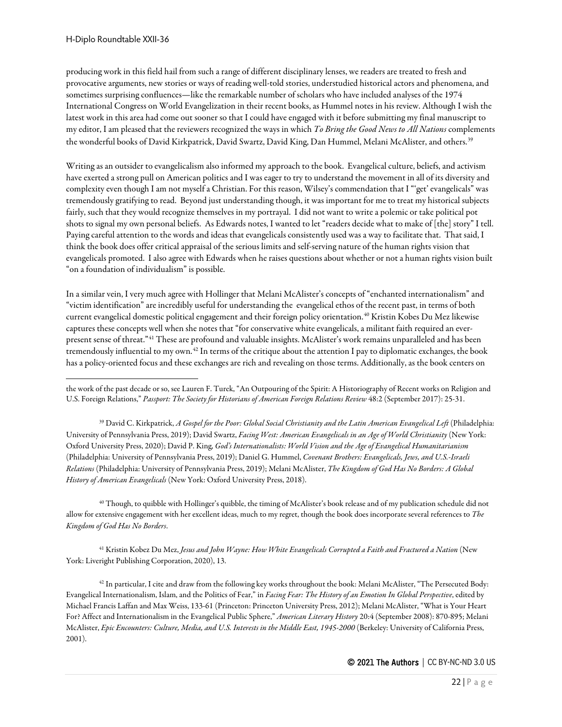producing work in this field hail from such a range of different disciplinary lenses, we readers are treated to fresh and provocative arguments, new stories or ways of reading well-told stories, understudied historical actors and phenomena, and sometimes surprising confluences—like the remarkable number of scholars who have included analyses of the 1974 International Congress on World Evangelization in their recent books, as Hummel notes in his review. Although I wish the latest work in this area had come out sooner so that I could have engaged with it before submitting my final manuscript to my editor, I am pleased that the reviewers recognized the ways in which *To Bring the Good News to All Nations*complements the wonderful books of David Kirkpatrick, David Swartz, David King, Dan Hummel, Melani McAlister, and others.<sup>[39](#page-21-0)</sup>

Writing as an outsider to evangelicalism also informed my approach to the book. Evangelical culture, beliefs, and activism have exerted a strong pull on American politics and I was eager to try to understand the movement in all of its diversity and complexity even though I am not myself a Christian. For this reason, Wilsey's commendation that I "'get' evangelicals" was tremendously gratifying to read. Beyond just understanding though, it was important for me to treat my historical subjects fairly, such that they would recognize themselves in my portrayal. I did not want to write a polemic or take political pot shots to signal my own personal beliefs. As Edwards notes, I wanted to let "readers decide what to make of [the] story" I tell. Paying careful attention to the words and ideas that evangelicals consistently used was a way to facilitate that. That said, I think the book does offer critical appraisal of the serious limits and self-serving nature of the human rights vision that evangelicals promoted. I also agree with Edwards when he raises questions about whether or not a human rights vision built "on a foundation of individualism" is possible.

In a similar vein, I very much agree with Hollinger that Melani McAlister's concepts of "enchanted internationalism" and "victim identification" are incredibly useful for understanding the evangelical ethos of the recent past, in terms of both current evangelical domestic political engagement and their foreign policy orientation.<sup>[40](#page-21-1)</sup> Kristin Kobes Du Mez likewise captures these concepts well when she notes that "for conservative white evangelicals, a militant faith required an everpresent sense of threat."[41](#page-21-2) These are profound and valuable insights. McAlister's work remains unparalleled and has been tremendously influential to my own.<sup>[42](#page-21-3)</sup> In terms of the critique about the attention I pay to diplomatic exchanges, the book has a policy-oriented focus and these exchanges are rich and revealing on those terms. Additionally, as the book centers on

the work of the past decade or so, see Lauren F. Turek, "An Outpouring of the Spirit: A Historiography of Recent works on Religion and U.S. Foreign Relations," *Passport: The Society for Historians of American Foreign Relations Review* 48:2 (September 2017): 25-31.

<span id="page-21-0"></span><sup>39</sup> David C. Kirkpatrick, *A Gospel for the Poor: Global Social Christianity and the Latin American Evangelical Left* (Philadelphia: University of Pennsylvania Press, 2019); David Swartz, *Facing West: American Evangelicals in an Age of World Christianity* (New York: Oxford University Press, 2020); David P. King, *God's Internationalists: World Vision and the Age of Evangelical Humanitarianism* (Philadelphia: University of Pennsylvania Press, 2019); Daniel G. Hummel, *Covenant Brothers: Evangelicals, Jews, and U.S.-Israeli Relations* (Philadelphia: University of Pennsylvania Press, 2019); Melani McAlister, *The Kingdom of God Has No Borders: A Global History of American Evangelicals* (New York: Oxford University Press, 2018).

<span id="page-21-1"></span><sup>40</sup> Though, to quibble with Hollinger's quibble, the timing of McAlister's book release and of my publication schedule did not allow for extensive engagement with her excellent ideas, much to my regret, though the book does incorporate several references to *The Kingdom of God Has No Borders*.

<span id="page-21-2"></span><sup>41</sup> Kristin Kobez Du Mez, *Jesus and John Wayne: How White Evangelicals Corrupted a Faith and Fractured a Nation* (New York: Liveright Publishing Corporation, 2020), 13.

<span id="page-21-3"></span> $42$  In particular, I cite and draw from the following key works throughout the book: Melani McAlister, "The Persecuted Body: Evangelical Internationalism, Islam, and the Politics of Fear," in *Facing Fear: The History of an Emotion In Global Perspective*, edited by Michael Francis Laffan and Max Weiss, 133-61 (Princeton: Princeton University Press, 2012); Melani McAlister, "What is Your Heart For? Affect and Internationalism in the Evangelical Public Sphere," *American Literary History* 20:4 (September 2008): 870-895; Melani McAlister, *Epic Encounters: Culture, Media, and U.S. Interests in the Middle East, 1945-2000* (Berkeley: University of California Press, 2001).